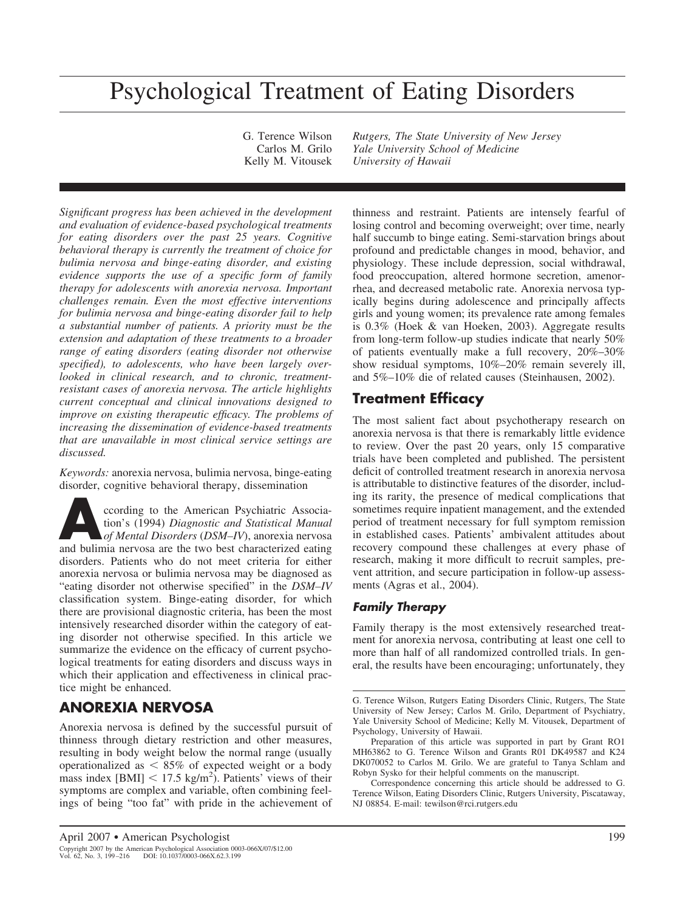# Psychological Treatment of Eating Disorders

G. Terence Wilson *Rutgers, The State University of New Jersey* Carlos M. Grilo *Yale University School of Medicine* Kelly M. Vitousek *University of Hawaii*

*Significant progress has been achieved in the development and evaluation of evidence-based psychological treatments for eating disorders over the past 25 years. Cognitive behavioral therapy is currently the treatment of choice for bulimia nervosa and binge-eating disorder, and existing evidence supports the use of a specific form of family therapy for adolescents with anorexia nervosa. Important challenges remain. Even the most effective interventions for bulimia nervosa and binge-eating disorder fail to help a substantial number of patients. A priority must be the extension and adaptation of these treatments to a broader range of eating disorders (eating disorder not otherwise specified), to adolescents, who have been largely overlooked in clinical research, and to chronic, treatmentresistant cases of anorexia nervosa. The article highlights current conceptual and clinical innovations designed to improve on existing therapeutic efficacy. The problems of increasing the dissemination of evidence-based treatments that are unavailable in most clinical service settings are discussed.*

*Keywords:* anorexia nervosa, bulimia nervosa, binge-eating disorder, cognitive behavioral therapy, dissemination

**A**ccording to the American Psychiatric Association's (1994) *Diagnostic and Statistical Manual of Mental Disorders* (*DSM–IV*), anorexia nervosa and bulimia nervosa are the two best characterized eating disorders. Patients who do not meet criteria for either anorexia nervosa or bulimia nervosa may be diagnosed as "eating disorder not otherwise specified" in the *DSM–IV* classification system. Binge-eating disorder, for which there are provisional diagnostic criteria, has been the most intensively researched disorder within the category of eating disorder not otherwise specified. In this article we summarize the evidence on the efficacy of current psychological treatments for eating disorders and discuss ways in which their application and effectiveness in clinical practice might be enhanced.

## **ANOREXIA NERVOSA**

Anorexia nervosa is defined by the successful pursuit of thinness through dietary restriction and other measures, resulting in body weight below the normal range (usually operationalized as  $< 85\%$  of expected weight or a body mass index  $[BMI] < 17.5 \text{ kg/m}^2$ ). Patients' views of their symptoms are complex and variable, often combining feelings of being "too fat" with pride in the achievement of thinness and restraint. Patients are intensely fearful of losing control and becoming overweight; over time, nearly half succumb to binge eating. Semi-starvation brings about profound and predictable changes in mood, behavior, and physiology. These include depression, social withdrawal, food preoccupation, altered hormone secretion, amenorrhea, and decreased metabolic rate. Anorexia nervosa typically begins during adolescence and principally affects girls and young women; its prevalence rate among females is 0.3% (Hoek & van Hoeken, 2003). Aggregate results from long-term follow-up studies indicate that nearly 50% of patients eventually make a full recovery, 20%–30% show residual symptoms, 10%–20% remain severely ill, and 5%–10% die of related causes (Steinhausen, 2002).

## **Treatment Efficacy**

The most salient fact about psychotherapy research on anorexia nervosa is that there is remarkably little evidence to review. Over the past 20 years, only 15 comparative trials have been completed and published. The persistent deficit of controlled treatment research in anorexia nervosa is attributable to distinctive features of the disorder, including its rarity, the presence of medical complications that sometimes require inpatient management, and the extended period of treatment necessary for full symptom remission in established cases. Patients' ambivalent attitudes about recovery compound these challenges at every phase of research, making it more difficult to recruit samples, prevent attrition, and secure participation in follow-up assessments (Agras et al., 2004).

#### *Family Therapy*

Family therapy is the most extensively researched treatment for anorexia nervosa, contributing at least one cell to more than half of all randomized controlled trials. In general, the results have been encouraging; unfortunately, they

G. Terence Wilson, Rutgers Eating Disorders Clinic, Rutgers, The State University of New Jersey; Carlos M. Grilo, Department of Psychiatry, Yale University School of Medicine; Kelly M. Vitousek, Department of Psychology, University of Hawaii.

Preparation of this article was supported in part by Grant RO1 MH63862 to G. Terence Wilson and Grants R01 DK49587 and K24 DK070052 to Carlos M. Grilo. We are grateful to Tanya Schlam and Robyn Sysko for their helpful comments on the manuscript.

Correspondence concerning this article should be addressed to G. Terence Wilson, Eating Disorders Clinic, Rutgers University, Piscataway, NJ 08854. E-mail: tewilson@rci.rutgers.edu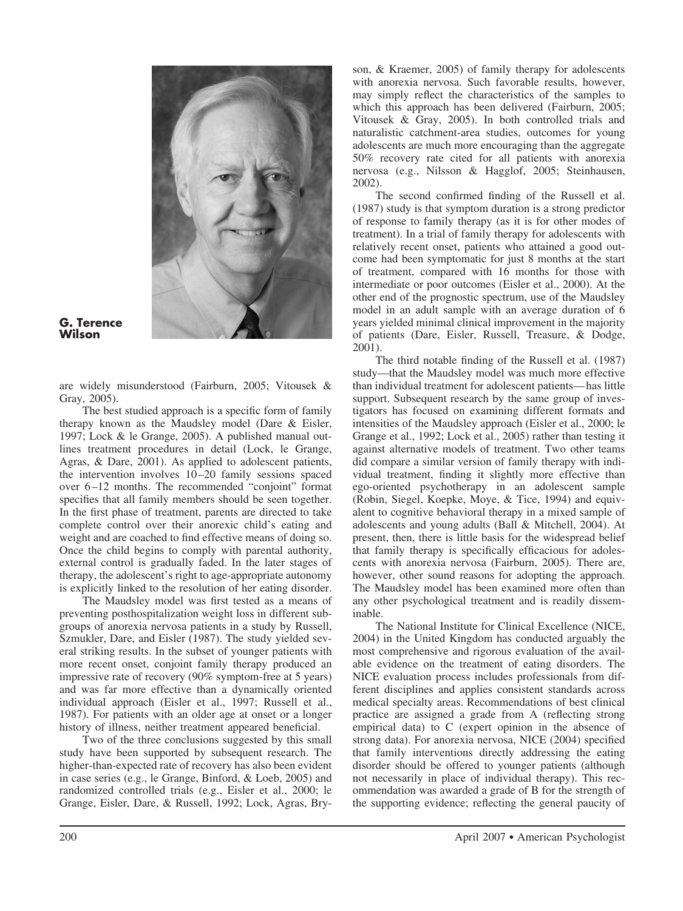

**G. Terence Wilson**

are widely misunderstood (Fairburn, 2005; Vitousek & Gray, 2005).

The best studied approach is a specific form of family therapy known as the Maudsley model (Dare & Eisler, 1997; Lock & le Grange, 2005). A published manual outlines treatment procedures in detail (Lock, le Grange, Agras, & Dare, 2001). As applied to adolescent patients, the intervention involves 10–20 family sessions spaced over 6–12 months. The recommended "conjoint" format specifies that all family members should be seen together. In the first phase of treatment, parents are directed to take complete control over their anorexic child's eating and weight and are coached to find effective means of doing so. Once the child begins to comply with parental authority, external control is gradually faded. In the later stages of therapy, the adolescent's right to age-appropriate autonomy is explicitly linked to the resolution of her eating disorder.

The Maudsley model was first tested as a means of preventing posthospitalization weight loss in different subgroups of anorexia nervosa patients in a study by Russell, Szmukler, Dare, and Eisler (1987). The study yielded several striking results. In the subset of younger patients with more recent onset, conjoint family therapy produced an impressive rate of recovery (90% symptom-free at 5 years) and was far more effective than a dynamically oriented individual approach (Eisler et al., 1997; Russell et al., 1987). For patients with an older age at onset or a longer history of illness, neither treatment appeared beneficial.

Two of the three conclusions suggested by this small study have been supported by subsequent research. The higher-than-expected rate of recovery has also been evident in case series (e.g., le Grange, Binford, & Loeb, 2005) and randomized controlled trials (e.g., Eisler et al., 2000; le Grange, Eisler, Dare, & Russell, 1992; Lock, Agras, Bryson, & Kraemer, 2005) of family therapy for adolescents with anorexia nervosa. Such favorable results, however, may simply reflect the characteristics of the samples to which this approach has been delivered (Fairburn, 2005; Vitousek & Gray, 2005). In both controlled trials and naturalistic catchment-area studies, outcomes for young adolescents are much more encouraging than the aggregate 50% recovery rate cited for all patients with anorexia nervosa (e.g., Nilsson & Hagglof, 2005; Steinhausen, 2002).

The second confirmed finding of the Russell et al. (1987) study is that symptom duration is a strong predictor of response to family therapy (as it is for other modes of treatment). In a trial of family therapy for adolescents with relatively recent onset, patients who attained a good outcome had been symptomatic for just 8 months at the start of treatment, compared with 16 months for those with intermediate or poor outcomes (Eisler et al., 2000). At the other end of the prognostic spectrum, use of the Maudsley model in an adult sample with an average duration of 6 years yielded minimal clinical improvement in the majority of patients (Dare, Eisler, Russell, Treasure, & Dodge, 2001).

The third notable finding of the Russell et al. (1987) study—that the Maudsley model was much more effective than individual treatment for adolescent patients—has little support. Subsequent research by the same group of investigators has focused on examining different formats and intensities of the Maudsley approach (Eisler et al., 2000; le Grange et al., 1992; Lock et al., 2005) rather than testing it against alternative models of treatment. Two other teams did compare a similar version of family therapy with individual treatment, finding it slightly more effective than ego-oriented psychotherapy in an adolescent sample (Robin, Siegel, Koepke, Moye, & Tice, 1994) and equivalent to cognitive behavioral therapy in a mixed sample of adolescents and young adults (Ball & Mitchell, 2004). At present, then, there is little basis for the widespread belief that family therapy is specifically efficacious for adolescents with anorexia nervosa (Fairburn, 2005). There are, however, other sound reasons for adopting the approach. The Maudsley model has been examined more often than any other psychological treatment and is readily disseminable.

The National Institute for Clinical Excellence (NICE, 2004) in the United Kingdom has conducted arguably the most comprehensive and rigorous evaluation of the available evidence on the treatment of eating disorders. The NICE evaluation process includes professionals from different disciplines and applies consistent standards across medical specialty areas. Recommendations of best clinical practice are assigned a grade from A (reflecting strong empirical data) to C (expert opinion in the absence of strong data). For anorexia nervosa, NICE (2004) specified that family interventions directly addressing the eating disorder should be offered to younger patients (although not necessarily in place of individual therapy). This recommendation was awarded a grade of B for the strength of the supporting evidence; reflecting the general paucity of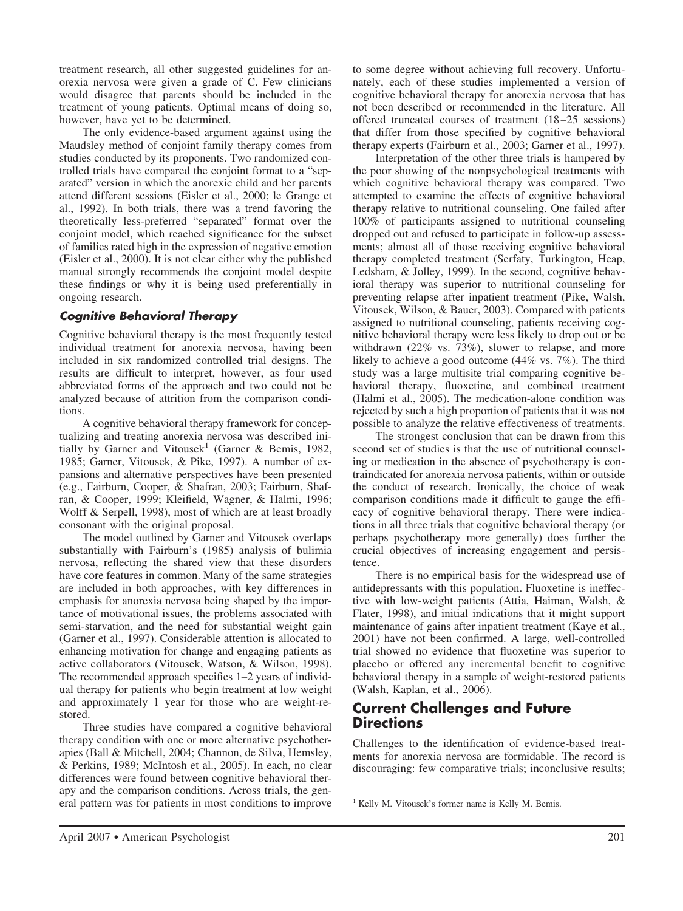treatment research, all other suggested guidelines for anorexia nervosa were given a grade of C. Few clinicians would disagree that parents should be included in the treatment of young patients. Optimal means of doing so, however, have yet to be determined.

The only evidence-based argument against using the Maudsley method of conjoint family therapy comes from studies conducted by its proponents. Two randomized controlled trials have compared the conjoint format to a "separated" version in which the anorexic child and her parents attend different sessions (Eisler et al., 2000; le Grange et al., 1992). In both trials, there was a trend favoring the theoretically less-preferred "separated" format over the conjoint model, which reached significance for the subset of families rated high in the expression of negative emotion (Eisler et al., 2000). It is not clear either why the published manual strongly recommends the conjoint model despite these findings or why it is being used preferentially in ongoing research.

#### *Cognitive Behavioral Therapy*

Cognitive behavioral therapy is the most frequently tested individual treatment for anorexia nervosa, having been included in six randomized controlled trial designs. The results are difficult to interpret, however, as four used abbreviated forms of the approach and two could not be analyzed because of attrition from the comparison conditions.

A cognitive behavioral therapy framework for conceptualizing and treating anorexia nervosa was described initially by Garner and Vitousek<sup>1</sup> (Garner & Bemis, 1982, 1985; Garner, Vitousek, & Pike, 1997). A number of expansions and alternative perspectives have been presented (e.g., Fairburn, Cooper, & Shafran, 2003; Fairburn, Shafran, & Cooper, 1999; Kleifield, Wagner, & Halmi, 1996; Wolff & Serpell, 1998), most of which are at least broadly consonant with the original proposal.

The model outlined by Garner and Vitousek overlaps substantially with Fairburn's (1985) analysis of bulimia nervosa, reflecting the shared view that these disorders have core features in common. Many of the same strategies are included in both approaches, with key differences in emphasis for anorexia nervosa being shaped by the importance of motivational issues, the problems associated with semi-starvation, and the need for substantial weight gain (Garner et al., 1997). Considerable attention is allocated to enhancing motivation for change and engaging patients as active collaborators (Vitousek, Watson, & Wilson, 1998). The recommended approach specifies 1–2 years of individual therapy for patients who begin treatment at low weight and approximately 1 year for those who are weight-restored.

Three studies have compared a cognitive behavioral therapy condition with one or more alternative psychotherapies (Ball & Mitchell, 2004; Channon, de Silva, Hemsley, & Perkins, 1989; McIntosh et al., 2005). In each, no clear differences were found between cognitive behavioral therapy and the comparison conditions. Across trials, the general pattern was for patients in most conditions to improve

to some degree without achieving full recovery. Unfortunately, each of these studies implemented a version of cognitive behavioral therapy for anorexia nervosa that has not been described or recommended in the literature. All offered truncated courses of treatment (18–25 sessions) that differ from those specified by cognitive behavioral therapy experts (Fairburn et al., 2003; Garner et al., 1997).

Interpretation of the other three trials is hampered by the poor showing of the nonpsychological treatments with which cognitive behavioral therapy was compared. Two attempted to examine the effects of cognitive behavioral therapy relative to nutritional counseling. One failed after 100% of participants assigned to nutritional counseling dropped out and refused to participate in follow-up assessments; almost all of those receiving cognitive behavioral therapy completed treatment (Serfaty, Turkington, Heap, Ledsham, & Jolley, 1999). In the second, cognitive behavioral therapy was superior to nutritional counseling for preventing relapse after inpatient treatment (Pike, Walsh, Vitousek, Wilson, & Bauer, 2003). Compared with patients assigned to nutritional counseling, patients receiving cognitive behavioral therapy were less likely to drop out or be withdrawn  $(22\% \text{ vs. } 73\%)$ , slower to relapse, and more likely to achieve a good outcome (44% vs. 7%). The third study was a large multisite trial comparing cognitive behavioral therapy, fluoxetine, and combined treatment (Halmi et al., 2005). The medication-alone condition was rejected by such a high proportion of patients that it was not possible to analyze the relative effectiveness of treatments.

The strongest conclusion that can be drawn from this second set of studies is that the use of nutritional counseling or medication in the absence of psychotherapy is contraindicated for anorexia nervosa patients, within or outside the conduct of research. Ironically, the choice of weak comparison conditions made it difficult to gauge the efficacy of cognitive behavioral therapy. There were indications in all three trials that cognitive behavioral therapy (or perhaps psychotherapy more generally) does further the crucial objectives of increasing engagement and persistence.

There is no empirical basis for the widespread use of antidepressants with this population. Fluoxetine is ineffective with low-weight patients (Attia, Haiman, Walsh, & Flater, 1998), and initial indications that it might support maintenance of gains after inpatient treatment (Kaye et al., 2001) have not been confirmed. A large, well-controlled trial showed no evidence that fluoxetine was superior to placebo or offered any incremental benefit to cognitive behavioral therapy in a sample of weight-restored patients (Walsh, Kaplan, et al., 2006).

## **Current Challenges and Future Directions**

Challenges to the identification of evidence-based treatments for anorexia nervosa are formidable. The record is discouraging: few comparative trials; inconclusive results;

<sup>&</sup>lt;sup>1</sup> Kelly M. Vitousek's former name is Kelly M. Bemis.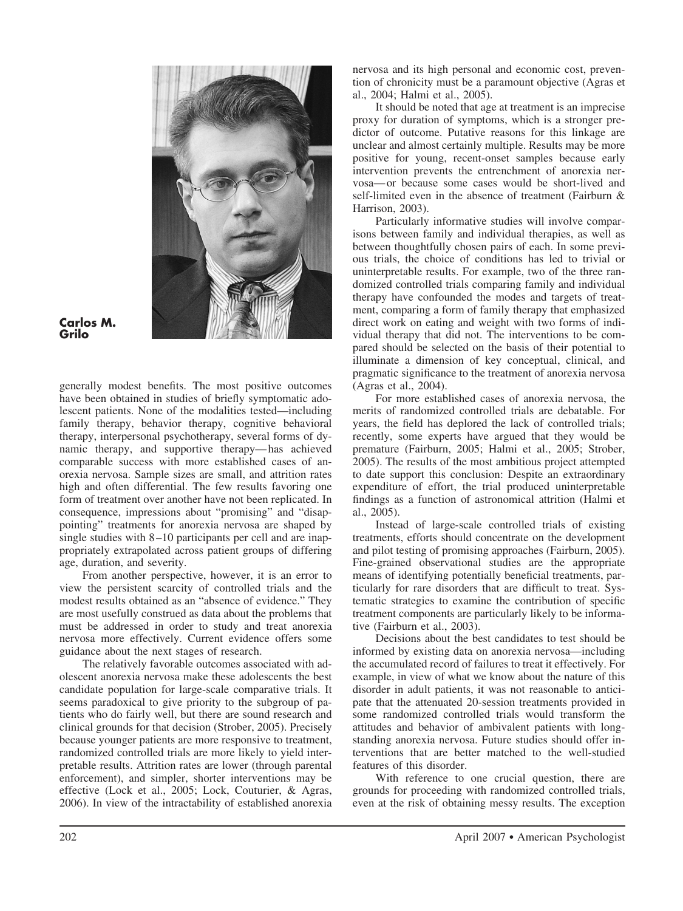

**Carlos M. Grilo**

generally modest benefits. The most positive outcomes have been obtained in studies of briefly symptomatic adolescent patients. None of the modalities tested—including family therapy, behavior therapy, cognitive behavioral therapy, interpersonal psychotherapy, several forms of dynamic therapy, and supportive therapy—has achieved comparable success with more established cases of anorexia nervosa. Sample sizes are small, and attrition rates high and often differential. The few results favoring one form of treatment over another have not been replicated. In consequence, impressions about "promising" and "disappointing" treatments for anorexia nervosa are shaped by single studies with 8–10 participants per cell and are inappropriately extrapolated across patient groups of differing age, duration, and severity.

From another perspective, however, it is an error to view the persistent scarcity of controlled trials and the modest results obtained as an "absence of evidence." They are most usefully construed as data about the problems that must be addressed in order to study and treat anorexia nervosa more effectively. Current evidence offers some guidance about the next stages of research.

The relatively favorable outcomes associated with adolescent anorexia nervosa make these adolescents the best candidate population for large-scale comparative trials. It seems paradoxical to give priority to the subgroup of patients who do fairly well, but there are sound research and clinical grounds for that decision (Strober, 2005). Precisely because younger patients are more responsive to treatment, randomized controlled trials are more likely to yield interpretable results. Attrition rates are lower (through parental enforcement), and simpler, shorter interventions may be effective (Lock et al., 2005; Lock, Couturier, & Agras, 2006). In view of the intractability of established anorexia nervosa and its high personal and economic cost, prevention of chronicity must be a paramount objective (Agras et al., 2004; Halmi et al., 2005).

It should be noted that age at treatment is an imprecise proxy for duration of symptoms, which is a stronger predictor of outcome. Putative reasons for this linkage are unclear and almost certainly multiple. Results may be more positive for young, recent-onset samples because early intervention prevents the entrenchment of anorexia nervosa—or because some cases would be short-lived and self-limited even in the absence of treatment (Fairburn & Harrison, 2003).

Particularly informative studies will involve comparisons between family and individual therapies, as well as between thoughtfully chosen pairs of each. In some previous trials, the choice of conditions has led to trivial or uninterpretable results. For example, two of the three randomized controlled trials comparing family and individual therapy have confounded the modes and targets of treatment, comparing a form of family therapy that emphasized direct work on eating and weight with two forms of individual therapy that did not. The interventions to be compared should be selected on the basis of their potential to illuminate a dimension of key conceptual, clinical, and pragmatic significance to the treatment of anorexia nervosa (Agras et al., 2004).

For more established cases of anorexia nervosa, the merits of randomized controlled trials are debatable. For years, the field has deplored the lack of controlled trials; recently, some experts have argued that they would be premature (Fairburn, 2005; Halmi et al., 2005; Strober, 2005). The results of the most ambitious project attempted to date support this conclusion: Despite an extraordinary expenditure of effort, the trial produced uninterpretable findings as a function of astronomical attrition (Halmi et al., 2005).

Instead of large-scale controlled trials of existing treatments, efforts should concentrate on the development and pilot testing of promising approaches (Fairburn, 2005). Fine-grained observational studies are the appropriate means of identifying potentially beneficial treatments, particularly for rare disorders that are difficult to treat. Systematic strategies to examine the contribution of specific treatment components are particularly likely to be informative (Fairburn et al., 2003).

Decisions about the best candidates to test should be informed by existing data on anorexia nervosa—including the accumulated record of failures to treat it effectively. For example, in view of what we know about the nature of this disorder in adult patients, it was not reasonable to anticipate that the attenuated 20-session treatments provided in some randomized controlled trials would transform the attitudes and behavior of ambivalent patients with longstanding anorexia nervosa. Future studies should offer interventions that are better matched to the well-studied features of this disorder.

With reference to one crucial question, there are grounds for proceeding with randomized controlled trials, even at the risk of obtaining messy results. The exception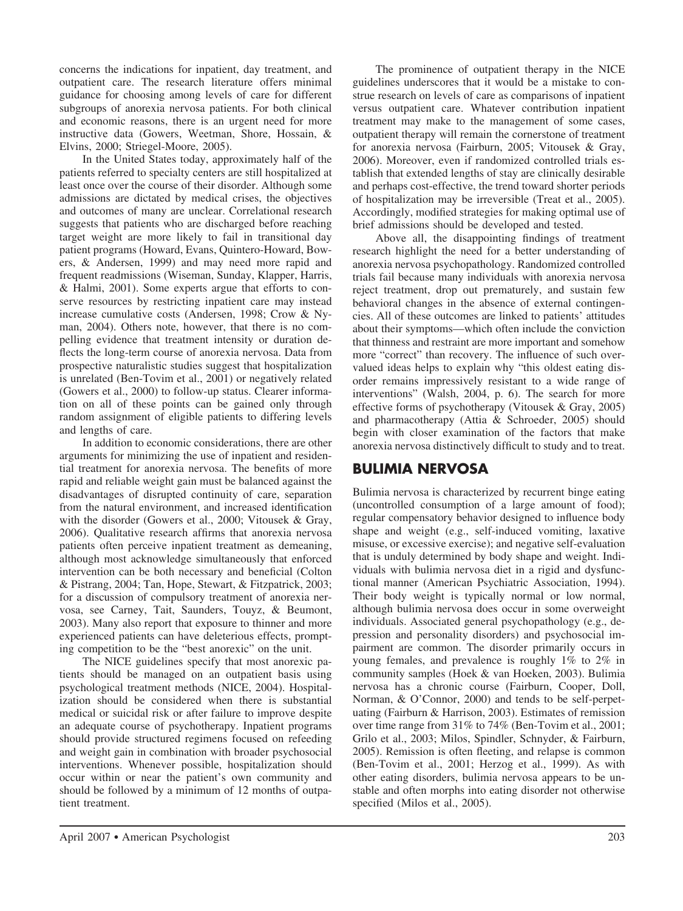concerns the indications for inpatient, day treatment, and outpatient care. The research literature offers minimal guidance for choosing among levels of care for different subgroups of anorexia nervosa patients. For both clinical and economic reasons, there is an urgent need for more instructive data (Gowers, Weetman, Shore, Hossain, & Elvins, 2000; Striegel-Moore, 2005).

In the United States today, approximately half of the patients referred to specialty centers are still hospitalized at least once over the course of their disorder. Although some admissions are dictated by medical crises, the objectives and outcomes of many are unclear. Correlational research suggests that patients who are discharged before reaching target weight are more likely to fail in transitional day patient programs (Howard, Evans, Quintero-Howard, Bowers, & Andersen, 1999) and may need more rapid and frequent readmissions (Wiseman, Sunday, Klapper, Harris, & Halmi, 2001). Some experts argue that efforts to conserve resources by restricting inpatient care may instead increase cumulative costs (Andersen, 1998; Crow & Nyman, 2004). Others note, however, that there is no compelling evidence that treatment intensity or duration deflects the long-term course of anorexia nervosa. Data from prospective naturalistic studies suggest that hospitalization is unrelated (Ben-Tovim et al., 2001) or negatively related (Gowers et al., 2000) to follow-up status. Clearer information on all of these points can be gained only through random assignment of eligible patients to differing levels and lengths of care.

In addition to economic considerations, there are other arguments for minimizing the use of inpatient and residential treatment for anorexia nervosa. The benefits of more rapid and reliable weight gain must be balanced against the disadvantages of disrupted continuity of care, separation from the natural environment, and increased identification with the disorder (Gowers et al., 2000; Vitousek & Gray, 2006). Qualitative research affirms that anorexia nervosa patients often perceive inpatient treatment as demeaning, although most acknowledge simultaneously that enforced intervention can be both necessary and beneficial (Colton & Pistrang, 2004; Tan, Hope, Stewart, & Fitzpatrick, 2003; for a discussion of compulsory treatment of anorexia nervosa, see Carney, Tait, Saunders, Touyz, & Beumont, 2003). Many also report that exposure to thinner and more experienced patients can have deleterious effects, prompting competition to be the "best anorexic" on the unit.

The NICE guidelines specify that most anorexic patients should be managed on an outpatient basis using psychological treatment methods (NICE, 2004). Hospitalization should be considered when there is substantial medical or suicidal risk or after failure to improve despite an adequate course of psychotherapy. Inpatient programs should provide structured regimens focused on refeeding and weight gain in combination with broader psychosocial interventions. Whenever possible, hospitalization should occur within or near the patient's own community and should be followed by a minimum of 12 months of outpatient treatment.

The prominence of outpatient therapy in the NICE guidelines underscores that it would be a mistake to construe research on levels of care as comparisons of inpatient versus outpatient care. Whatever contribution inpatient treatment may make to the management of some cases, outpatient therapy will remain the cornerstone of treatment for anorexia nervosa (Fairburn, 2005; Vitousek & Gray, 2006). Moreover, even if randomized controlled trials establish that extended lengths of stay are clinically desirable and perhaps cost-effective, the trend toward shorter periods of hospitalization may be irreversible (Treat et al., 2005). Accordingly, modified strategies for making optimal use of brief admissions should be developed and tested.

Above all, the disappointing findings of treatment research highlight the need for a better understanding of anorexia nervosa psychopathology. Randomized controlled trials fail because many individuals with anorexia nervosa reject treatment, drop out prematurely, and sustain few behavioral changes in the absence of external contingencies. All of these outcomes are linked to patients' attitudes about their symptoms—which often include the conviction that thinness and restraint are more important and somehow more "correct" than recovery. The influence of such overvalued ideas helps to explain why "this oldest eating disorder remains impressively resistant to a wide range of interventions" (Walsh, 2004, p. 6). The search for more effective forms of psychotherapy (Vitousek & Gray, 2005) and pharmacotherapy (Attia & Schroeder, 2005) should begin with closer examination of the factors that make anorexia nervosa distinctively difficult to study and to treat.

# **BULIMIA NERVOSA**

Bulimia nervosa is characterized by recurrent binge eating (uncontrolled consumption of a large amount of food); regular compensatory behavior designed to influence body shape and weight (e.g., self-induced vomiting, laxative misuse, or excessive exercise); and negative self-evaluation that is unduly determined by body shape and weight. Individuals with bulimia nervosa diet in a rigid and dysfunctional manner (American Psychiatric Association, 1994). Their body weight is typically normal or low normal, although bulimia nervosa does occur in some overweight individuals. Associated general psychopathology (e.g., depression and personality disorders) and psychosocial impairment are common. The disorder primarily occurs in young females, and prevalence is roughly 1% to 2% in community samples (Hoek & van Hoeken, 2003). Bulimia nervosa has a chronic course (Fairburn, Cooper, Doll, Norman, & O'Connor, 2000) and tends to be self-perpetuating (Fairburn & Harrison, 2003). Estimates of remission over time range from 31% to 74% (Ben-Tovim et al., 2001; Grilo et al., 2003; Milos, Spindler, Schnyder, & Fairburn, 2005). Remission is often fleeting, and relapse is common (Ben-Tovim et al., 2001; Herzog et al., 1999). As with other eating disorders, bulimia nervosa appears to be unstable and often morphs into eating disorder not otherwise specified (Milos et al., 2005).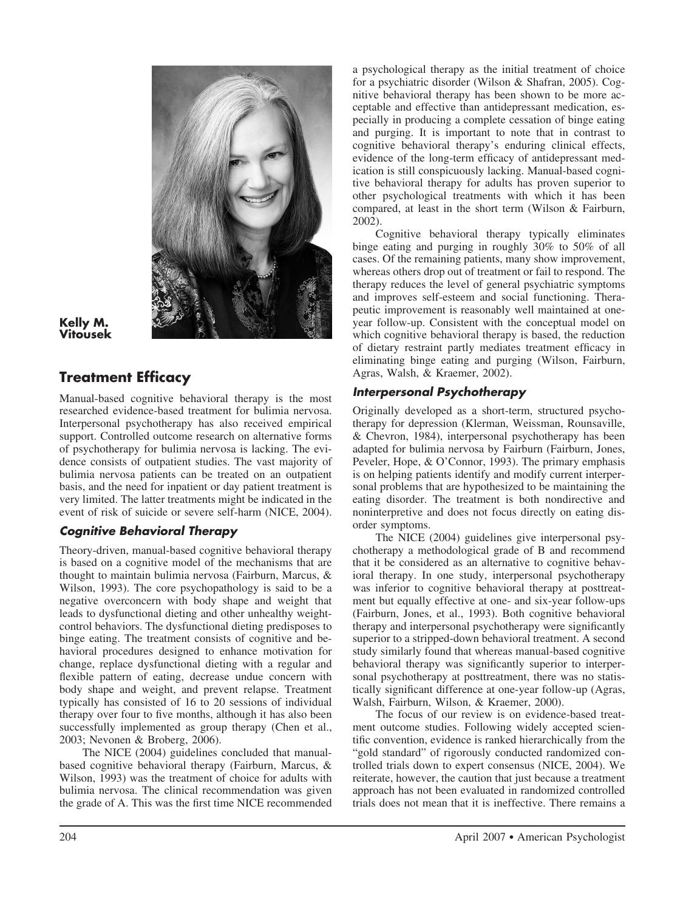

#### **Kelly M. Vitousek**

## **Treatment Efficacy**

Manual-based cognitive behavioral therapy is the most researched evidence-based treatment for bulimia nervosa. Interpersonal psychotherapy has also received empirical support. Controlled outcome research on alternative forms of psychotherapy for bulimia nervosa is lacking. The evidence consists of outpatient studies. The vast majority of bulimia nervosa patients can be treated on an outpatient basis, and the need for inpatient or day patient treatment is very limited. The latter treatments might be indicated in the event of risk of suicide or severe self-harm (NICE, 2004).

#### *Cognitive Behavioral Therapy*

Theory-driven, manual-based cognitive behavioral therapy is based on a cognitive model of the mechanisms that are thought to maintain bulimia nervosa (Fairburn, Marcus, & Wilson, 1993). The core psychopathology is said to be a negative overconcern with body shape and weight that leads to dysfunctional dieting and other unhealthy weightcontrol behaviors. The dysfunctional dieting predisposes to binge eating. The treatment consists of cognitive and behavioral procedures designed to enhance motivation for change, replace dysfunctional dieting with a regular and flexible pattern of eating, decrease undue concern with body shape and weight, and prevent relapse. Treatment typically has consisted of 16 to 20 sessions of individual therapy over four to five months, although it has also been successfully implemented as group therapy (Chen et al., 2003; Nevonen & Broberg, 2006).

The NICE (2004) guidelines concluded that manualbased cognitive behavioral therapy (Fairburn, Marcus, & Wilson, 1993) was the treatment of choice for adults with bulimia nervosa. The clinical recommendation was given the grade of A. This was the first time NICE recommended a psychological therapy as the initial treatment of choice for a psychiatric disorder (Wilson & Shafran, 2005). Cognitive behavioral therapy has been shown to be more acceptable and effective than antidepressant medication, especially in producing a complete cessation of binge eating and purging. It is important to note that in contrast to cognitive behavioral therapy's enduring clinical effects, evidence of the long-term efficacy of antidepressant medication is still conspicuously lacking. Manual-based cognitive behavioral therapy for adults has proven superior to other psychological treatments with which it has been compared, at least in the short term (Wilson & Fairburn, 2002).

Cognitive behavioral therapy typically eliminates binge eating and purging in roughly 30% to 50% of all cases. Of the remaining patients, many show improvement, whereas others drop out of treatment or fail to respond. The therapy reduces the level of general psychiatric symptoms and improves self-esteem and social functioning. Therapeutic improvement is reasonably well maintained at oneyear follow-up. Consistent with the conceptual model on which cognitive behavioral therapy is based, the reduction of dietary restraint partly mediates treatment efficacy in eliminating binge eating and purging (Wilson, Fairburn, Agras, Walsh, & Kraemer, 2002).

#### *Interpersonal Psychotherapy*

Originally developed as a short-term, structured psychotherapy for depression (Klerman, Weissman, Rounsaville, & Chevron, 1984), interpersonal psychotherapy has been adapted for bulimia nervosa by Fairburn (Fairburn, Jones, Peveler, Hope, & O'Connor, 1993). The primary emphasis is on helping patients identify and modify current interpersonal problems that are hypothesized to be maintaining the eating disorder. The treatment is both nondirective and noninterpretive and does not focus directly on eating disorder symptoms.

The NICE (2004) guidelines give interpersonal psychotherapy a methodological grade of B and recommend that it be considered as an alternative to cognitive behavioral therapy. In one study, interpersonal psychotherapy was inferior to cognitive behavioral therapy at posttreatment but equally effective at one- and six-year follow-ups (Fairburn, Jones, et al., 1993). Both cognitive behavioral therapy and interpersonal psychotherapy were significantly superior to a stripped-down behavioral treatment. A second study similarly found that whereas manual-based cognitive behavioral therapy was significantly superior to interpersonal psychotherapy at posttreatment, there was no statistically significant difference at one-year follow-up (Agras, Walsh, Fairburn, Wilson, & Kraemer, 2000).

The focus of our review is on evidence-based treatment outcome studies. Following widely accepted scientific convention, evidence is ranked hierarchically from the "gold standard" of rigorously conducted randomized controlled trials down to expert consensus (NICE, 2004). We reiterate, however, the caution that just because a treatment approach has not been evaluated in randomized controlled trials does not mean that it is ineffective. There remains a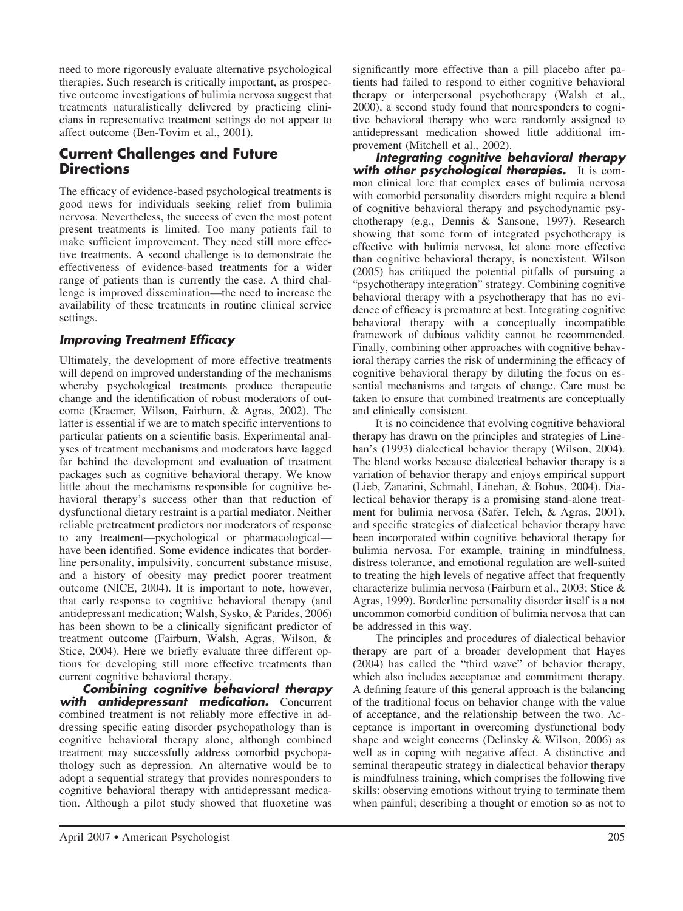need to more rigorously evaluate alternative psychological therapies. Such research is critically important, as prospective outcome investigations of bulimia nervosa suggest that treatments naturalistically delivered by practicing clinicians in representative treatment settings do not appear to affect outcome (Ben-Tovim et al., 2001).

## **Current Challenges and Future Directions**

The efficacy of evidence-based psychological treatments is good news for individuals seeking relief from bulimia nervosa. Nevertheless, the success of even the most potent present treatments is limited. Too many patients fail to make sufficient improvement. They need still more effective treatments. A second challenge is to demonstrate the effectiveness of evidence-based treatments for a wider range of patients than is currently the case. A third challenge is improved dissemination—the need to increase the availability of these treatments in routine clinical service settings.

#### *Improving Treatment Efficacy*

Ultimately, the development of more effective treatments will depend on improved understanding of the mechanisms whereby psychological treatments produce therapeutic change and the identification of robust moderators of outcome (Kraemer, Wilson, Fairburn, & Agras, 2002). The latter is essential if we are to match specific interventions to particular patients on a scientific basis. Experimental analyses of treatment mechanisms and moderators have lagged far behind the development and evaluation of treatment packages such as cognitive behavioral therapy. We know little about the mechanisms responsible for cognitive behavioral therapy's success other than that reduction of dysfunctional dietary restraint is a partial mediator. Neither reliable pretreatment predictors nor moderators of response to any treatment—psychological or pharmacological have been identified. Some evidence indicates that borderline personality, impulsivity, concurrent substance misuse, and a history of obesity may predict poorer treatment outcome (NICE, 2004). It is important to note, however, that early response to cognitive behavioral therapy (and antidepressant medication; Walsh, Sysko, & Parides, 2006) has been shown to be a clinically significant predictor of treatment outcome (Fairburn, Walsh, Agras, Wilson, & Stice, 2004). Here we briefly evaluate three different options for developing still more effective treatments than current cognitive behavioral therapy.

*Combining cognitive behavioral therapy with antidepressant medication.* Concurrent combined treatment is not reliably more effective in addressing specific eating disorder psychopathology than is cognitive behavioral therapy alone, although combined treatment may successfully address comorbid psychopathology such as depression. An alternative would be to adopt a sequential strategy that provides nonresponders to cognitive behavioral therapy with antidepressant medication. Although a pilot study showed that fluoxetine was

significantly more effective than a pill placebo after patients had failed to respond to either cognitive behavioral therapy or interpersonal psychotherapy (Walsh et al., 2000), a second study found that nonresponders to cognitive behavioral therapy who were randomly assigned to antidepressant medication showed little additional improvement (Mitchell et al., 2002).

*Integrating cognitive behavioral therapy with other psychological therapies.* It is common clinical lore that complex cases of bulimia nervosa with comorbid personality disorders might require a blend of cognitive behavioral therapy and psychodynamic psychotherapy (e.g., Dennis & Sansone, 1997). Research showing that some form of integrated psychotherapy is effective with bulimia nervosa, let alone more effective than cognitive behavioral therapy, is nonexistent. Wilson (2005) has critiqued the potential pitfalls of pursuing a "psychotherapy integration" strategy. Combining cognitive behavioral therapy with a psychotherapy that has no evidence of efficacy is premature at best. Integrating cognitive behavioral therapy with a conceptually incompatible framework of dubious validity cannot be recommended. Finally, combining other approaches with cognitive behavioral therapy carries the risk of undermining the efficacy of cognitive behavioral therapy by diluting the focus on essential mechanisms and targets of change. Care must be taken to ensure that combined treatments are conceptually and clinically consistent.

It is no coincidence that evolving cognitive behavioral therapy has drawn on the principles and strategies of Linehan's (1993) dialectical behavior therapy (Wilson, 2004). The blend works because dialectical behavior therapy is a variation of behavior therapy and enjoys empirical support (Lieb, Zanarini, Schmahl, Linehan, & Bohus, 2004). Dialectical behavior therapy is a promising stand-alone treatment for bulimia nervosa (Safer, Telch, & Agras, 2001), and specific strategies of dialectical behavior therapy have been incorporated within cognitive behavioral therapy for bulimia nervosa. For example, training in mindfulness, distress tolerance, and emotional regulation are well-suited to treating the high levels of negative affect that frequently characterize bulimia nervosa (Fairburn et al., 2003; Stice & Agras, 1999). Borderline personality disorder itself is a not uncommon comorbid condition of bulimia nervosa that can be addressed in this way.

The principles and procedures of dialectical behavior therapy are part of a broader development that Hayes (2004) has called the "third wave" of behavior therapy, which also includes acceptance and commitment therapy. A defining feature of this general approach is the balancing of the traditional focus on behavior change with the value of acceptance, and the relationship between the two. Acceptance is important in overcoming dysfunctional body shape and weight concerns (Delinsky & Wilson, 2006) as well as in coping with negative affect. A distinctive and seminal therapeutic strategy in dialectical behavior therapy is mindfulness training, which comprises the following five skills: observing emotions without trying to terminate them when painful; describing a thought or emotion so as not to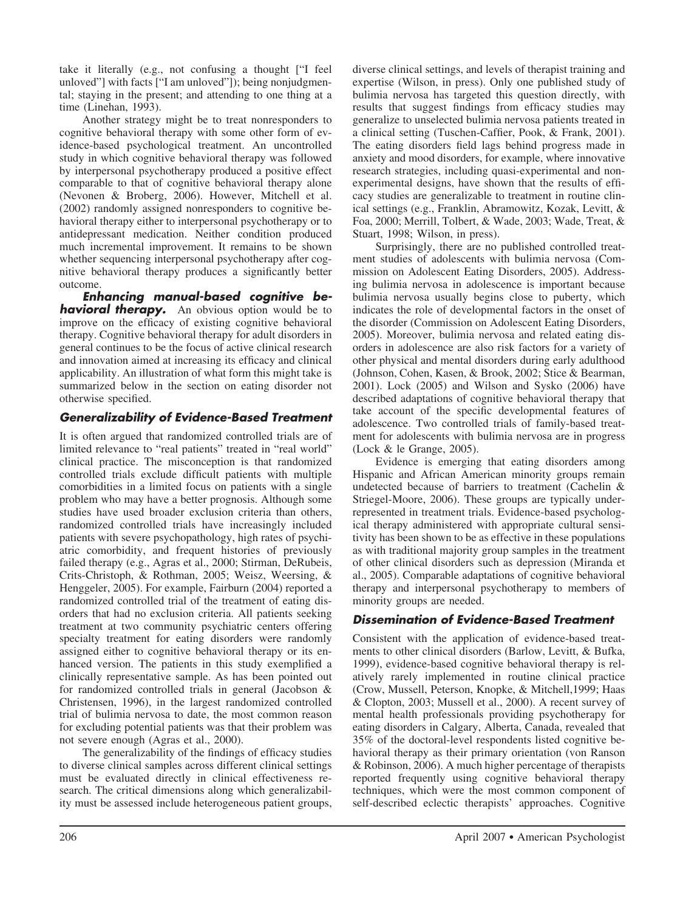take it literally (e.g., not confusing a thought ["I feel unloved"] with facts ["I am unloved"]); being nonjudgmental; staying in the present; and attending to one thing at a time (Linehan, 1993).

Another strategy might be to treat nonresponders to cognitive behavioral therapy with some other form of evidence-based psychological treatment. An uncontrolled study in which cognitive behavioral therapy was followed by interpersonal psychotherapy produced a positive effect comparable to that of cognitive behavioral therapy alone (Nevonen & Broberg, 2006). However, Mitchell et al. (2002) randomly assigned nonresponders to cognitive behavioral therapy either to interpersonal psychotherapy or to antidepressant medication. Neither condition produced much incremental improvement. It remains to be shown whether sequencing interpersonal psychotherapy after cognitive behavioral therapy produces a significantly better outcome.

*Enhancing manual-based cognitive be***havioral therapy.** An obvious option would be to improve on the efficacy of existing cognitive behavioral therapy. Cognitive behavioral therapy for adult disorders in general continues to be the focus of active clinical research and innovation aimed at increasing its efficacy and clinical applicability. An illustration of what form this might take is summarized below in the section on eating disorder not otherwise specified.

#### *Generalizability of Evidence-Based Treatment*

It is often argued that randomized controlled trials are of limited relevance to "real patients" treated in "real world" clinical practice. The misconception is that randomized controlled trials exclude difficult patients with multiple comorbidities in a limited focus on patients with a single problem who may have a better prognosis. Although some studies have used broader exclusion criteria than others, randomized controlled trials have increasingly included patients with severe psychopathology, high rates of psychiatric comorbidity, and frequent histories of previously failed therapy (e.g., Agras et al., 2000; Stirman, DeRubeis, Crits-Christoph, & Rothman, 2005; Weisz, Weersing, & Henggeler, 2005). For example, Fairburn (2004) reported a randomized controlled trial of the treatment of eating disorders that had no exclusion criteria. All patients seeking treatment at two community psychiatric centers offering specialty treatment for eating disorders were randomly assigned either to cognitive behavioral therapy or its enhanced version. The patients in this study exemplified a clinically representative sample. As has been pointed out for randomized controlled trials in general (Jacobson & Christensen, 1996), in the largest randomized controlled trial of bulimia nervosa to date, the most common reason for excluding potential patients was that their problem was not severe enough (Agras et al., 2000).

The generalizability of the findings of efficacy studies to diverse clinical samples across different clinical settings must be evaluated directly in clinical effectiveness research. The critical dimensions along which generalizability must be assessed include heterogeneous patient groups,

diverse clinical settings, and levels of therapist training and expertise (Wilson, in press). Only one published study of bulimia nervosa has targeted this question directly, with results that suggest findings from efficacy studies may generalize to unselected bulimia nervosa patients treated in a clinical setting (Tuschen-Caffier, Pook, & Frank, 2001). The eating disorders field lags behind progress made in anxiety and mood disorders, for example, where innovative research strategies, including quasi-experimental and nonexperimental designs, have shown that the results of efficacy studies are generalizable to treatment in routine clinical settings (e.g., Franklin, Abramowitz, Kozak, Levitt, & Foa, 2000; Merrill, Tolbert, & Wade, 2003; Wade, Treat, & Stuart, 1998; Wilson, in press).

Surprisingly, there are no published controlled treatment studies of adolescents with bulimia nervosa (Commission on Adolescent Eating Disorders, 2005). Addressing bulimia nervosa in adolescence is important because bulimia nervosa usually begins close to puberty, which indicates the role of developmental factors in the onset of the disorder (Commission on Adolescent Eating Disorders, 2005). Moreover, bulimia nervosa and related eating disorders in adolescence are also risk factors for a variety of other physical and mental disorders during early adulthood (Johnson, Cohen, Kasen, & Brook, 2002; Stice & Bearman, 2001). Lock (2005) and Wilson and Sysko (2006) have described adaptations of cognitive behavioral therapy that take account of the specific developmental features of adolescence. Two controlled trials of family-based treatment for adolescents with bulimia nervosa are in progress (Lock & le Grange, 2005).

Evidence is emerging that eating disorders among Hispanic and African American minority groups remain undetected because of barriers to treatment (Cachelin & Striegel-Moore, 2006). These groups are typically underrepresented in treatment trials. Evidence-based psychological therapy administered with appropriate cultural sensitivity has been shown to be as effective in these populations as with traditional majority group samples in the treatment of other clinical disorders such as depression (Miranda et al., 2005). Comparable adaptations of cognitive behavioral therapy and interpersonal psychotherapy to members of minority groups are needed.

#### *Dissemination of Evidence-Based Treatment*

Consistent with the application of evidence-based treatments to other clinical disorders (Barlow, Levitt, & Bufka, 1999), evidence-based cognitive behavioral therapy is relatively rarely implemented in routine clinical practice (Crow, Mussell, Peterson, Knopke, & Mitchell,1999; Haas & Clopton, 2003; Mussell et al., 2000). A recent survey of mental health professionals providing psychotherapy for eating disorders in Calgary, Alberta, Canada, revealed that 35% of the doctoral-level respondents listed cognitive behavioral therapy as their primary orientation (von Ranson & Robinson, 2006). A much higher percentage of therapists reported frequently using cognitive behavioral therapy techniques, which were the most common component of self-described eclectic therapists' approaches. Cognitive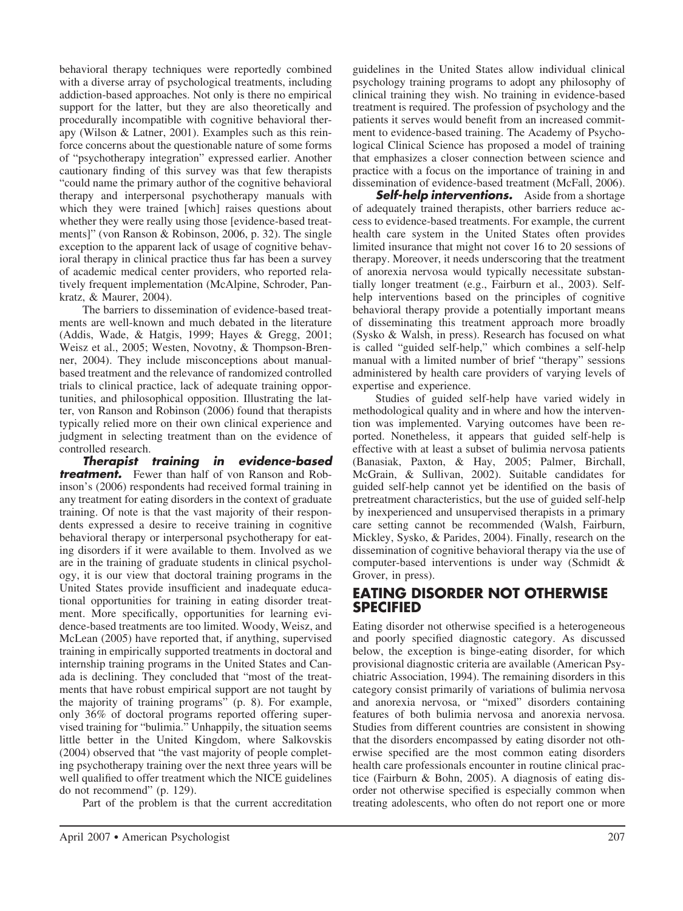behavioral therapy techniques were reportedly combined with a diverse array of psychological treatments, including addiction-based approaches. Not only is there no empirical support for the latter, but they are also theoretically and procedurally incompatible with cognitive behavioral therapy (Wilson & Latner, 2001). Examples such as this reinforce concerns about the questionable nature of some forms of "psychotherapy integration" expressed earlier. Another cautionary finding of this survey was that few therapists "could name the primary author of the cognitive behavioral therapy and interpersonal psychotherapy manuals with which they were trained [which] raises questions about whether they were really using those [evidence-based treatments]" (von Ranson & Robinson, 2006, p. 32). The single exception to the apparent lack of usage of cognitive behavioral therapy in clinical practice thus far has been a survey of academic medical center providers, who reported relatively frequent implementation (McAlpine, Schroder, Pankratz, & Maurer, 2004).

The barriers to dissemination of evidence-based treatments are well-known and much debated in the literature (Addis, Wade, & Hatgis, 1999; Hayes & Gregg, 2001; Weisz et al., 2005; Westen, Novotny, & Thompson-Brenner, 2004). They include misconceptions about manualbased treatment and the relevance of randomized controlled trials to clinical practice, lack of adequate training opportunities, and philosophical opposition. Illustrating the latter, von Ranson and Robinson (2006) found that therapists typically relied more on their own clinical experience and judgment in selecting treatment than on the evidence of controlled research.

*Therapist training in evidence-based treatment.* Fewer than half of von Ranson and Robinson's (2006) respondents had received formal training in any treatment for eating disorders in the context of graduate training. Of note is that the vast majority of their respondents expressed a desire to receive training in cognitive behavioral therapy or interpersonal psychotherapy for eating disorders if it were available to them. Involved as we are in the training of graduate students in clinical psychology, it is our view that doctoral training programs in the United States provide insufficient and inadequate educational opportunities for training in eating disorder treatment. More specifically, opportunities for learning evidence-based treatments are too limited. Woody, Weisz, and McLean (2005) have reported that, if anything, supervised training in empirically supported treatments in doctoral and internship training programs in the United States and Canada is declining. They concluded that "most of the treatments that have robust empirical support are not taught by the majority of training programs" (p. 8). For example, only 36% of doctoral programs reported offering supervised training for "bulimia." Unhappily, the situation seems little better in the United Kingdom, where Salkovskis (2004) observed that "the vast majority of people completing psychotherapy training over the next three years will be well qualified to offer treatment which the NICE guidelines do not recommend" (p. 129).

Part of the problem is that the current accreditation

guidelines in the United States allow individual clinical psychology training programs to adopt any philosophy of clinical training they wish. No training in evidence-based treatment is required. The profession of psychology and the patients it serves would benefit from an increased commitment to evidence-based training. The Academy of Psychological Clinical Science has proposed a model of training that emphasizes a closer connection between science and practice with a focus on the importance of training in and dissemination of evidence-based treatment (McFall, 2006).

**Self-help interventions.** Aside from a shortage of adequately trained therapists, other barriers reduce access to evidence-based treatments. For example, the current health care system in the United States often provides limited insurance that might not cover 16 to 20 sessions of therapy. Moreover, it needs underscoring that the treatment of anorexia nervosa would typically necessitate substantially longer treatment (e.g., Fairburn et al., 2003). Selfhelp interventions based on the principles of cognitive behavioral therapy provide a potentially important means of disseminating this treatment approach more broadly (Sysko & Walsh, in press). Research has focused on what is called "guided self-help," which combines a self-help manual with a limited number of brief "therapy" sessions administered by health care providers of varying levels of expertise and experience.

Studies of guided self-help have varied widely in methodological quality and in where and how the intervention was implemented. Varying outcomes have been reported. Nonetheless, it appears that guided self-help is effective with at least a subset of bulimia nervosa patients (Banasiak, Paxton, & Hay, 2005; Palmer, Birchall, McGrain, & Sullivan, 2002). Suitable candidates for guided self-help cannot yet be identified on the basis of pretreatment characteristics, but the use of guided self-help by inexperienced and unsupervised therapists in a primary care setting cannot be recommended (Walsh, Fairburn, Mickley, Sysko, & Parides, 2004). Finally, research on the dissemination of cognitive behavioral therapy via the use of computer-based interventions is under way (Schmidt & Grover, in press).

## **EATING DISORDER NOT OTHERWISE SPECIFIED**

Eating disorder not otherwise specified is a heterogeneous and poorly specified diagnostic category. As discussed below, the exception is binge-eating disorder, for which provisional diagnostic criteria are available (American Psychiatric Association, 1994). The remaining disorders in this category consist primarily of variations of bulimia nervosa and anorexia nervosa, or "mixed" disorders containing features of both bulimia nervosa and anorexia nervosa. Studies from different countries are consistent in showing that the disorders encompassed by eating disorder not otherwise specified are the most common eating disorders health care professionals encounter in routine clinical practice (Fairburn & Bohn, 2005). A diagnosis of eating disorder not otherwise specified is especially common when treating adolescents, who often do not report one or more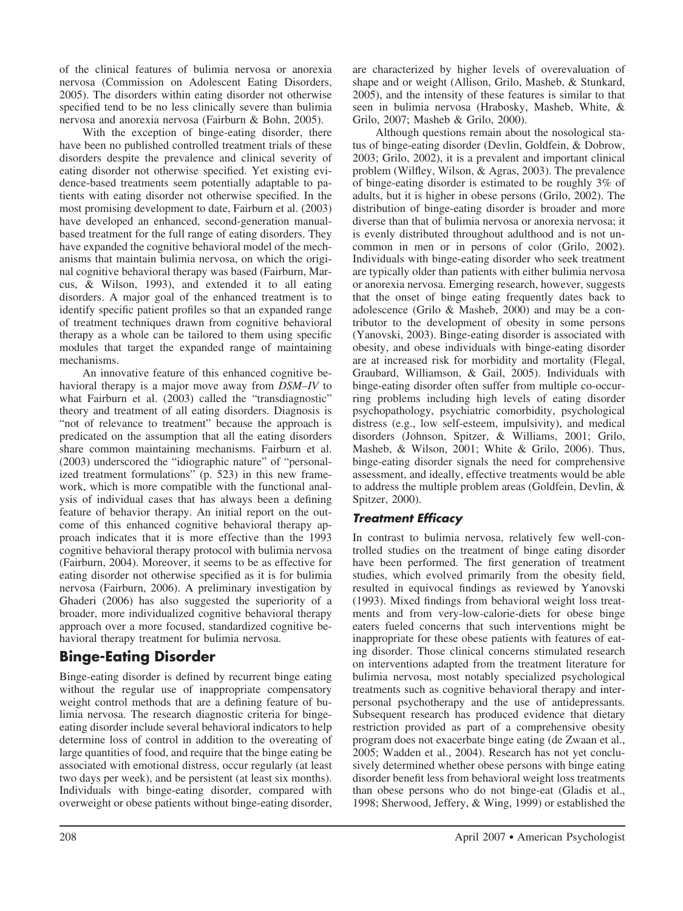of the clinical features of bulimia nervosa or anorexia nervosa (Commission on Adolescent Eating Disorders, 2005). The disorders within eating disorder not otherwise specified tend to be no less clinically severe than bulimia nervosa and anorexia nervosa (Fairburn & Bohn, 2005).

With the exception of binge-eating disorder, there have been no published controlled treatment trials of these disorders despite the prevalence and clinical severity of eating disorder not otherwise specified. Yet existing evidence-based treatments seem potentially adaptable to patients with eating disorder not otherwise specified. In the most promising development to date, Fairburn et al. (2003) have developed an enhanced, second-generation manualbased treatment for the full range of eating disorders. They have expanded the cognitive behavioral model of the mechanisms that maintain bulimia nervosa, on which the original cognitive behavioral therapy was based (Fairburn, Marcus, & Wilson, 1993), and extended it to all eating disorders. A major goal of the enhanced treatment is to identify specific patient profiles so that an expanded range of treatment techniques drawn from cognitive behavioral therapy as a whole can be tailored to them using specific modules that target the expanded range of maintaining mechanisms.

An innovative feature of this enhanced cognitive behavioral therapy is a major move away from *DSM–IV* to what Fairburn et al. (2003) called the "transdiagnostic" theory and treatment of all eating disorders. Diagnosis is "not of relevance to treatment" because the approach is predicated on the assumption that all the eating disorders share common maintaining mechanisms. Fairburn et al. (2003) underscored the "idiographic nature" of "personalized treatment formulations" (p. 523) in this new framework, which is more compatible with the functional analysis of individual cases that has always been a defining feature of behavior therapy. An initial report on the outcome of this enhanced cognitive behavioral therapy approach indicates that it is more effective than the 1993 cognitive behavioral therapy protocol with bulimia nervosa (Fairburn, 2004). Moreover, it seems to be as effective for eating disorder not otherwise specified as it is for bulimia nervosa (Fairburn, 2006). A preliminary investigation by Ghaderi (2006) has also suggested the superiority of a broader, more individualized cognitive behavioral therapy approach over a more focused, standardized cognitive behavioral therapy treatment for bulimia nervosa.

# **Binge-Eating Disorder**

Binge-eating disorder is defined by recurrent binge eating without the regular use of inappropriate compensatory weight control methods that are a defining feature of bulimia nervosa. The research diagnostic criteria for bingeeating disorder include several behavioral indicators to help determine loss of control in addition to the overeating of large quantities of food, and require that the binge eating be associated with emotional distress, occur regularly (at least two days per week), and be persistent (at least six months). Individuals with binge-eating disorder, compared with overweight or obese patients without binge-eating disorder,

are characterized by higher levels of overevaluation of shape and or weight (Allison, Grilo, Masheb, & Stunkard, 2005), and the intensity of these features is similar to that seen in bulimia nervosa (Hrabosky, Masheb, White, & Grilo, 2007; Masheb & Grilo, 2000).

Although questions remain about the nosological status of binge-eating disorder (Devlin, Goldfein, & Dobrow, 2003; Grilo, 2002), it is a prevalent and important clinical problem (Wilfley, Wilson, & Agras, 2003). The prevalence of binge-eating disorder is estimated to be roughly 3% of adults, but it is higher in obese persons (Grilo, 2002). The distribution of binge-eating disorder is broader and more diverse than that of bulimia nervosa or anorexia nervosa; it is evenly distributed throughout adulthood and is not uncommon in men or in persons of color (Grilo, 2002). Individuals with binge-eating disorder who seek treatment are typically older than patients with either bulimia nervosa or anorexia nervosa. Emerging research, however, suggests that the onset of binge eating frequently dates back to adolescence (Grilo & Masheb, 2000) and may be a contributor to the development of obesity in some persons (Yanovski, 2003). Binge-eating disorder is associated with obesity, and obese individuals with binge-eating disorder are at increased risk for morbidity and mortality (Flegal, Graubard, Williamson, & Gail, 2005). Individuals with binge-eating disorder often suffer from multiple co-occurring problems including high levels of eating disorder psychopathology, psychiatric comorbidity, psychological distress (e.g., low self-esteem, impulsivity), and medical disorders (Johnson, Spitzer, & Williams, 2001; Grilo, Masheb, & Wilson, 2001; White & Grilo, 2006). Thus, binge-eating disorder signals the need for comprehensive assessment, and ideally, effective treatments would be able to address the multiple problem areas (Goldfein, Devlin, & Spitzer, 2000).

## *Treatment Efficacy*

In contrast to bulimia nervosa, relatively few well-controlled studies on the treatment of binge eating disorder have been performed. The first generation of treatment studies, which evolved primarily from the obesity field, resulted in equivocal findings as reviewed by Yanovski (1993). Mixed findings from behavioral weight loss treatments and from very-low-calorie-diets for obese binge eaters fueled concerns that such interventions might be inappropriate for these obese patients with features of eating disorder. Those clinical concerns stimulated research on interventions adapted from the treatment literature for bulimia nervosa, most notably specialized psychological treatments such as cognitive behavioral therapy and interpersonal psychotherapy and the use of antidepressants. Subsequent research has produced evidence that dietary restriction provided as part of a comprehensive obesity program does not exacerbate binge eating (de Zwaan et al., 2005; Wadden et al., 2004). Research has not yet conclusively determined whether obese persons with binge eating disorder benefit less from behavioral weight loss treatments than obese persons who do not binge-eat (Gladis et al., 1998; Sherwood, Jeffery, & Wing, 1999) or established the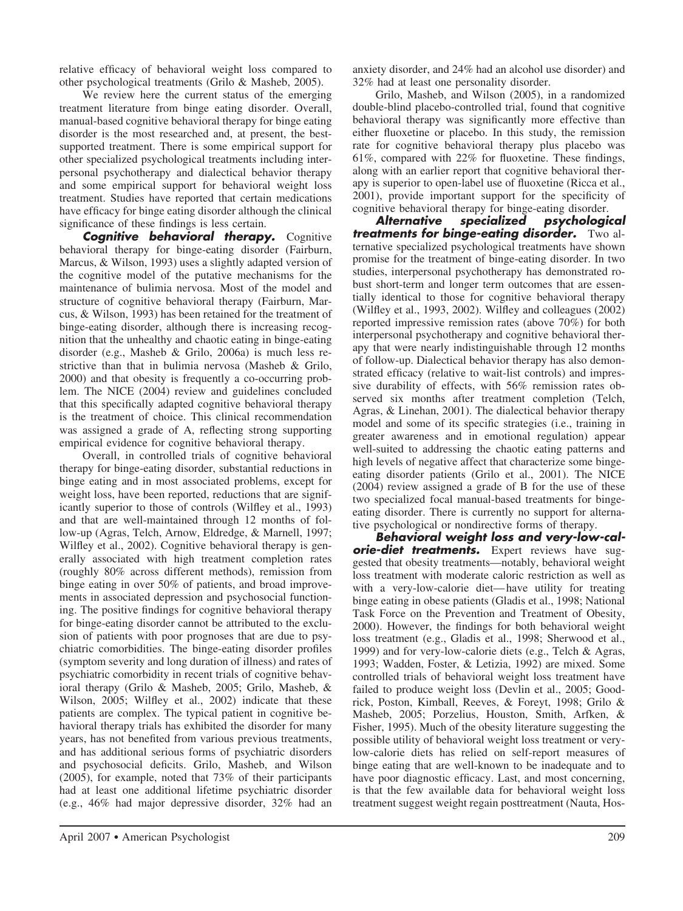relative efficacy of behavioral weight loss compared to other psychological treatments (Grilo & Masheb, 2005).

We review here the current status of the emerging treatment literature from binge eating disorder. Overall, manual-based cognitive behavioral therapy for binge eating disorder is the most researched and, at present, the bestsupported treatment. There is some empirical support for other specialized psychological treatments including interpersonal psychotherapy and dialectical behavior therapy and some empirical support for behavioral weight loss treatment. Studies have reported that certain medications have efficacy for binge eating disorder although the clinical significance of these findings is less certain.

*Cognitive behavioral therapy.* Cognitive behavioral therapy for binge-eating disorder (Fairburn, Marcus, & Wilson, 1993) uses a slightly adapted version of the cognitive model of the putative mechanisms for the maintenance of bulimia nervosa. Most of the model and structure of cognitive behavioral therapy (Fairburn, Marcus, & Wilson, 1993) has been retained for the treatment of binge-eating disorder, although there is increasing recognition that the unhealthy and chaotic eating in binge-eating disorder (e.g., Masheb & Grilo, 2006a) is much less restrictive than that in bulimia nervosa (Masheb & Grilo, 2000) and that obesity is frequently a co-occurring problem. The NICE (2004) review and guidelines concluded that this specifically adapted cognitive behavioral therapy is the treatment of choice. This clinical recommendation was assigned a grade of A, reflecting strong supporting empirical evidence for cognitive behavioral therapy.

Overall, in controlled trials of cognitive behavioral therapy for binge-eating disorder, substantial reductions in binge eating and in most associated problems, except for weight loss, have been reported, reductions that are significantly superior to those of controls (Wilfley et al., 1993) and that are well-maintained through 12 months of follow-up (Agras, Telch, Arnow, Eldredge, & Marnell, 1997; Wilfley et al., 2002). Cognitive behavioral therapy is generally associated with high treatment completion rates (roughly 80% across different methods), remission from binge eating in over 50% of patients, and broad improvements in associated depression and psychosocial functioning. The positive findings for cognitive behavioral therapy for binge-eating disorder cannot be attributed to the exclusion of patients with poor prognoses that are due to psychiatric comorbidities. The binge-eating disorder profiles (symptom severity and long duration of illness) and rates of psychiatric comorbidity in recent trials of cognitive behavioral therapy (Grilo & Masheb, 2005; Grilo, Masheb, & Wilson, 2005; Wilfley et al., 2002) indicate that these patients are complex. The typical patient in cognitive behavioral therapy trials has exhibited the disorder for many years, has not benefited from various previous treatments, and has additional serious forms of psychiatric disorders and psychosocial deficits. Grilo, Masheb, and Wilson (2005), for example, noted that 73% of their participants had at least one additional lifetime psychiatric disorder (e.g., 46% had major depressive disorder, 32% had an

anxiety disorder, and 24% had an alcohol use disorder) and 32% had at least one personality disorder.

Grilo, Masheb, and Wilson (2005), in a randomized double-blind placebo-controlled trial, found that cognitive behavioral therapy was significantly more effective than either fluoxetine or placebo. In this study, the remission rate for cognitive behavioral therapy plus placebo was 61%, compared with 22% for fluoxetine. These findings, along with an earlier report that cognitive behavioral therapy is superior to open-label use of fluoxetine (Ricca et al., 2001), provide important support for the specificity of cognitive behavioral therapy for binge-eating disorder.

*Alternative specialized psychological treatments for binge-eating disorder.* Two alternative specialized psychological treatments have shown promise for the treatment of binge-eating disorder. In two studies, interpersonal psychotherapy has demonstrated robust short-term and longer term outcomes that are essentially identical to those for cognitive behavioral therapy (Wilfley et al., 1993, 2002). Wilfley and colleagues (2002) reported impressive remission rates (above 70%) for both interpersonal psychotherapy and cognitive behavioral therapy that were nearly indistinguishable through 12 months of follow-up. Dialectical behavior therapy has also demonstrated efficacy (relative to wait-list controls) and impressive durability of effects, with 56% remission rates observed six months after treatment completion (Telch, Agras, & Linehan, 2001). The dialectical behavior therapy model and some of its specific strategies (i.e., training in greater awareness and in emotional regulation) appear well-suited to addressing the chaotic eating patterns and high levels of negative affect that characterize some bingeeating disorder patients (Grilo et al., 2001). The NICE (2004) review assigned a grade of B for the use of these two specialized focal manual-based treatments for bingeeating disorder. There is currently no support for alternative psychological or nondirective forms of therapy.

*Behavioral weight loss and very-low-calorie-diet treatments.* Expert reviews have suggested that obesity treatments—notably, behavioral weight loss treatment with moderate caloric restriction as well as with a very-low-calorie diet—have utility for treating binge eating in obese patients (Gladis et al., 1998; National Task Force on the Prevention and Treatment of Obesity, 2000). However, the findings for both behavioral weight loss treatment (e.g., Gladis et al., 1998; Sherwood et al., 1999) and for very-low-calorie diets (e.g., Telch & Agras, 1993; Wadden, Foster, & Letizia, 1992) are mixed. Some controlled trials of behavioral weight loss treatment have failed to produce weight loss (Devlin et al., 2005; Goodrick, Poston, Kimball, Reeves, & Foreyt, 1998; Grilo & Masheb, 2005; Porzelius, Houston, Smith, Arfken, & Fisher, 1995). Much of the obesity literature suggesting the possible utility of behavioral weight loss treatment or verylow-calorie diets has relied on self-report measures of binge eating that are well-known to be inadequate and to have poor diagnostic efficacy. Last, and most concerning, is that the few available data for behavioral weight loss treatment suggest weight regain posttreatment (Nauta, Hos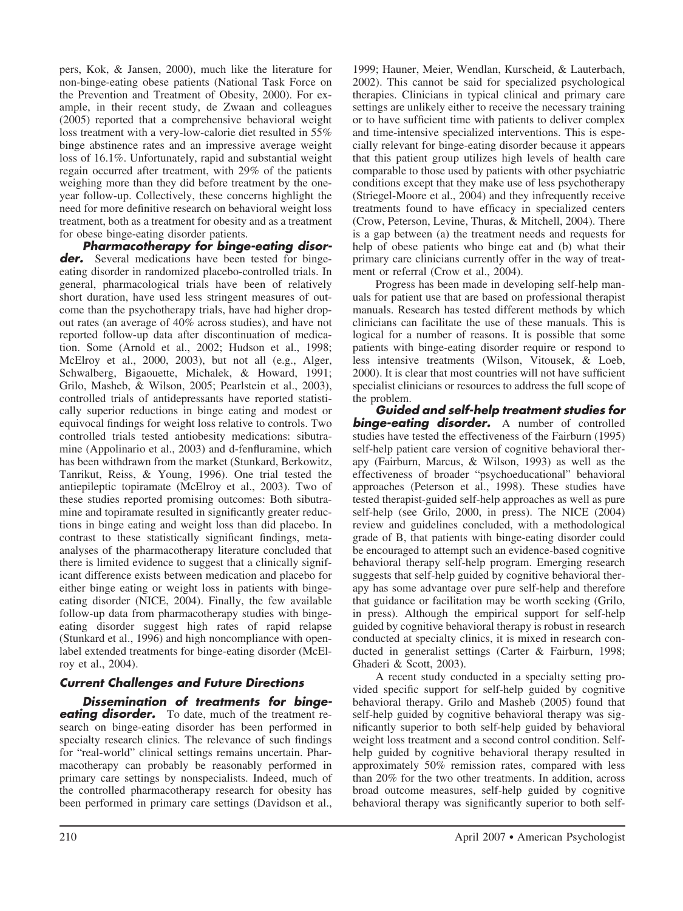pers, Kok, & Jansen, 2000), much like the literature for non-binge-eating obese patients (National Task Force on the Prevention and Treatment of Obesity, 2000). For example, in their recent study, de Zwaan and colleagues (2005) reported that a comprehensive behavioral weight loss treatment with a very-low-calorie diet resulted in 55% binge abstinence rates and an impressive average weight loss of 16.1%. Unfortunately, rapid and substantial weight regain occurred after treatment, with 29% of the patients weighing more than they did before treatment by the oneyear follow-up. Collectively, these concerns highlight the need for more definitive research on behavioral weight loss treatment, both as a treatment for obesity and as a treatment for obese binge-eating disorder patients.

*Pharmacotherapy for binge-eating disorder.* Several medications have been tested for bingeeating disorder in randomized placebo-controlled trials. In general, pharmacological trials have been of relatively short duration, have used less stringent measures of outcome than the psychotherapy trials, have had higher dropout rates (an average of 40% across studies), and have not reported follow-up data after discontinuation of medication. Some (Arnold et al., 2002; Hudson et al., 1998; McElroy et al., 2000, 2003), but not all (e.g., Alger, Schwalberg, Bigaouette, Michalek, & Howard, 1991; Grilo, Masheb, & Wilson, 2005; Pearlstein et al., 2003), controlled trials of antidepressants have reported statistically superior reductions in binge eating and modest or equivocal findings for weight loss relative to controls. Two controlled trials tested antiobesity medications: sibutramine (Appolinario et al., 2003) and d-fenfluramine, which has been withdrawn from the market (Stunkard, Berkowitz, Tanrikut, Reiss, & Young, 1996). One trial tested the antiepileptic topiramate (McElroy et al., 2003). Two of these studies reported promising outcomes: Both sibutramine and topiramate resulted in significantly greater reductions in binge eating and weight loss than did placebo. In contrast to these statistically significant findings, metaanalyses of the pharmacotherapy literature concluded that there is limited evidence to suggest that a clinically significant difference exists between medication and placebo for either binge eating or weight loss in patients with bingeeating disorder (NICE, 2004). Finally, the few available follow-up data from pharmacotherapy studies with bingeeating disorder suggest high rates of rapid relapse (Stunkard et al., 1996) and high noncompliance with openlabel extended treatments for binge-eating disorder (McElroy et al., 2004).

#### *Current Challenges and Future Directions*

*Dissemination of treatments for binge***eating disorder.** To date, much of the treatment research on binge-eating disorder has been performed in specialty research clinics. The relevance of such findings for "real-world" clinical settings remains uncertain. Pharmacotherapy can probably be reasonably performed in primary care settings by nonspecialists. Indeed, much of the controlled pharmacotherapy research for obesity has been performed in primary care settings (Davidson et al.,

1999; Hauner, Meier, Wendlan, Kurscheid, & Lauterbach, 2002). This cannot be said for specialized psychological therapies. Clinicians in typical clinical and primary care settings are unlikely either to receive the necessary training or to have sufficient time with patients to deliver complex and time-intensive specialized interventions. This is especially relevant for binge-eating disorder because it appears that this patient group utilizes high levels of health care comparable to those used by patients with other psychiatric conditions except that they make use of less psychotherapy (Striegel-Moore et al., 2004) and they infrequently receive treatments found to have efficacy in specialized centers (Crow, Peterson, Levine, Thuras, & Mitchell, 2004). There is a gap between (a) the treatment needs and requests for help of obese patients who binge eat and (b) what their primary care clinicians currently offer in the way of treatment or referral (Crow et al., 2004).

Progress has been made in developing self-help manuals for patient use that are based on professional therapist manuals. Research has tested different methods by which clinicians can facilitate the use of these manuals. This is logical for a number of reasons. It is possible that some patients with binge-eating disorder require or respond to less intensive treatments (Wilson, Vitousek, & Loeb, 2000). It is clear that most countries will not have sufficient specialist clinicians or resources to address the full scope of the problem.

*Guided and self-help treatment studies for* **binge-eating disorder.** A number of controlled studies have tested the effectiveness of the Fairburn (1995) self-help patient care version of cognitive behavioral therapy (Fairburn, Marcus, & Wilson, 1993) as well as the effectiveness of broader "psychoeducational" behavioral approaches (Peterson et al., 1998). These studies have tested therapist-guided self-help approaches as well as pure self-help (see Grilo, 2000, in press). The NICE (2004) review and guidelines concluded, with a methodological grade of B, that patients with binge-eating disorder could be encouraged to attempt such an evidence-based cognitive behavioral therapy self-help program. Emerging research suggests that self-help guided by cognitive behavioral therapy has some advantage over pure self-help and therefore that guidance or facilitation may be worth seeking (Grilo, in press). Although the empirical support for self-help guided by cognitive behavioral therapy is robust in research conducted at specialty clinics, it is mixed in research conducted in generalist settings (Carter & Fairburn, 1998; Ghaderi & Scott, 2003).

A recent study conducted in a specialty setting provided specific support for self-help guided by cognitive behavioral therapy. Grilo and Masheb (2005) found that self-help guided by cognitive behavioral therapy was significantly superior to both self-help guided by behavioral weight loss treatment and a second control condition. Selfhelp guided by cognitive behavioral therapy resulted in approximately 50% remission rates, compared with less than 20% for the two other treatments. In addition, across broad outcome measures, self-help guided by cognitive behavioral therapy was significantly superior to both self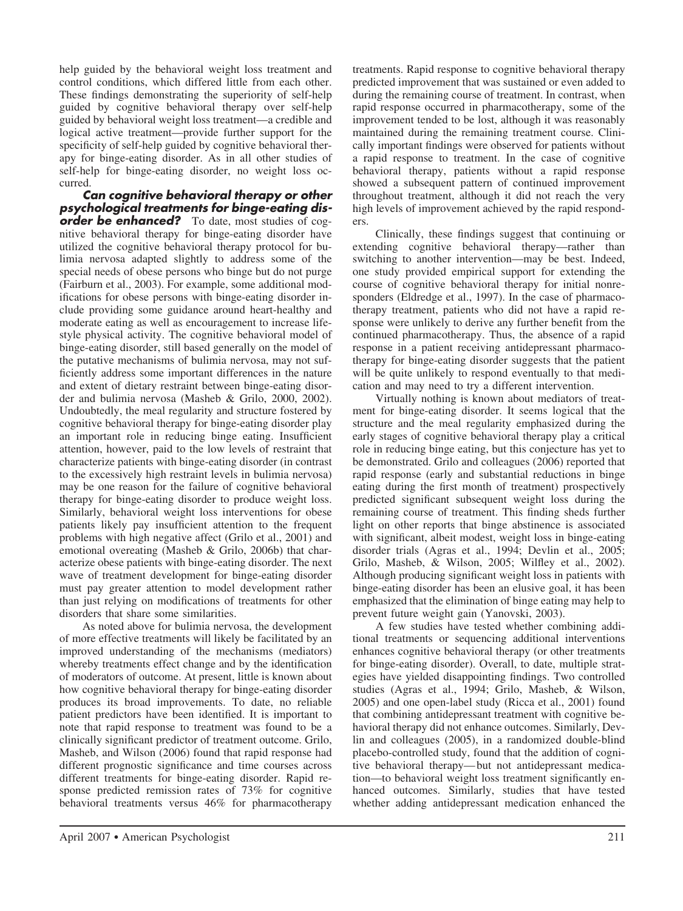help guided by the behavioral weight loss treatment and control conditions, which differed little from each other. These findings demonstrating the superiority of self-help guided by cognitive behavioral therapy over self-help guided by behavioral weight loss treatment—a credible and logical active treatment—provide further support for the specificity of self-help guided by cognitive behavioral therapy for binge-eating disorder. As in all other studies of self-help for binge-eating disorder, no weight loss occurred.

*Can cognitive behavioral therapy or other psychological treatments for binge-eating disorder be enhanced?* To date, most studies of cognitive behavioral therapy for binge-eating disorder have utilized the cognitive behavioral therapy protocol for bulimia nervosa adapted slightly to address some of the special needs of obese persons who binge but do not purge (Fairburn et al., 2003). For example, some additional modifications for obese persons with binge-eating disorder include providing some guidance around heart-healthy and moderate eating as well as encouragement to increase lifestyle physical activity. The cognitive behavioral model of binge-eating disorder, still based generally on the model of the putative mechanisms of bulimia nervosa, may not sufficiently address some important differences in the nature and extent of dietary restraint between binge-eating disorder and bulimia nervosa (Masheb & Grilo, 2000, 2002). Undoubtedly, the meal regularity and structure fostered by cognitive behavioral therapy for binge-eating disorder play an important role in reducing binge eating. Insufficient attention, however, paid to the low levels of restraint that characterize patients with binge-eating disorder (in contrast to the excessively high restraint levels in bulimia nervosa) may be one reason for the failure of cognitive behavioral therapy for binge-eating disorder to produce weight loss. Similarly, behavioral weight loss interventions for obese patients likely pay insufficient attention to the frequent problems with high negative affect (Grilo et al., 2001) and emotional overeating (Masheb & Grilo, 2006b) that characterize obese patients with binge-eating disorder. The next wave of treatment development for binge-eating disorder must pay greater attention to model development rather than just relying on modifications of treatments for other disorders that share some similarities.

As noted above for bulimia nervosa, the development of more effective treatments will likely be facilitated by an improved understanding of the mechanisms (mediators) whereby treatments effect change and by the identification of moderators of outcome. At present, little is known about how cognitive behavioral therapy for binge-eating disorder produces its broad improvements. To date, no reliable patient predictors have been identified. It is important to note that rapid response to treatment was found to be a clinically significant predictor of treatment outcome. Grilo, Masheb, and Wilson (2006) found that rapid response had different prognostic significance and time courses across different treatments for binge-eating disorder. Rapid response predicted remission rates of 73% for cognitive behavioral treatments versus 46% for pharmacotherapy

treatments. Rapid response to cognitive behavioral therapy predicted improvement that was sustained or even added to during the remaining course of treatment. In contrast, when rapid response occurred in pharmacotherapy, some of the improvement tended to be lost, although it was reasonably maintained during the remaining treatment course. Clinically important findings were observed for patients without a rapid response to treatment. In the case of cognitive behavioral therapy, patients without a rapid response showed a subsequent pattern of continued improvement throughout treatment, although it did not reach the very high levels of improvement achieved by the rapid responders.

Clinically, these findings suggest that continuing or extending cognitive behavioral therapy—rather than switching to another intervention—may be best. Indeed, one study provided empirical support for extending the course of cognitive behavioral therapy for initial nonresponders (Eldredge et al., 1997). In the case of pharmacotherapy treatment, patients who did not have a rapid response were unlikely to derive any further benefit from the continued pharmacotherapy. Thus, the absence of a rapid response in a patient receiving antidepressant pharmacotherapy for binge-eating disorder suggests that the patient will be quite unlikely to respond eventually to that medication and may need to try a different intervention.

Virtually nothing is known about mediators of treatment for binge-eating disorder. It seems logical that the structure and the meal regularity emphasized during the early stages of cognitive behavioral therapy play a critical role in reducing binge eating, but this conjecture has yet to be demonstrated. Grilo and colleagues (2006) reported that rapid response (early and substantial reductions in binge eating during the first month of treatment) prospectively predicted significant subsequent weight loss during the remaining course of treatment. This finding sheds further light on other reports that binge abstinence is associated with significant, albeit modest, weight loss in binge-eating disorder trials (Agras et al., 1994; Devlin et al., 2005; Grilo, Masheb, & Wilson, 2005; Wilfley et al., 2002). Although producing significant weight loss in patients with binge-eating disorder has been an elusive goal, it has been emphasized that the elimination of binge eating may help to prevent future weight gain (Yanovski, 2003).

A few studies have tested whether combining additional treatments or sequencing additional interventions enhances cognitive behavioral therapy (or other treatments for binge-eating disorder). Overall, to date, multiple strategies have yielded disappointing findings. Two controlled studies (Agras et al., 1994; Grilo, Masheb, & Wilson, 2005) and one open-label study (Ricca et al., 2001) found that combining antidepressant treatment with cognitive behavioral therapy did not enhance outcomes. Similarly, Devlin and colleagues (2005), in a randomized double-blind placebo-controlled study, found that the addition of cognitive behavioral therapy—but not antidepressant medication—to behavioral weight loss treatment significantly enhanced outcomes. Similarly, studies that have tested whether adding antidepressant medication enhanced the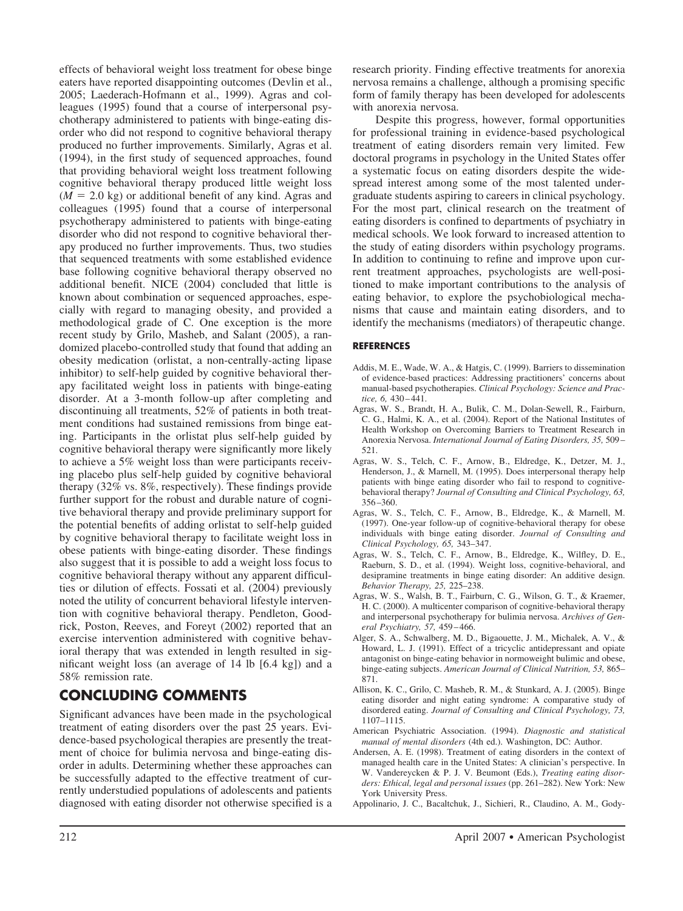effects of behavioral weight loss treatment for obese binge eaters have reported disappointing outcomes (Devlin et al., 2005; Laederach-Hofmann et al., 1999). Agras and colleagues (1995) found that a course of interpersonal psychotherapy administered to patients with binge-eating disorder who did not respond to cognitive behavioral therapy produced no further improvements. Similarly, Agras et al. (1994), in the first study of sequenced approaches, found that providing behavioral weight loss treatment following cognitive behavioral therapy produced little weight loss  $(M = 2.0 \text{ kg})$  or additional benefit of any kind. Agras and colleagues (1995) found that a course of interpersonal psychotherapy administered to patients with binge-eating disorder who did not respond to cognitive behavioral therapy produced no further improvements. Thus, two studies that sequenced treatments with some established evidence base following cognitive behavioral therapy observed no additional benefit. NICE (2004) concluded that little is known about combination or sequenced approaches, especially with regard to managing obesity, and provided a methodological grade of C. One exception is the more recent study by Grilo, Masheb, and Salant (2005), a randomized placebo-controlled study that found that adding an obesity medication (orlistat, a non-centrally-acting lipase inhibitor) to self-help guided by cognitive behavioral therapy facilitated weight loss in patients with binge-eating disorder. At a 3-month follow-up after completing and discontinuing all treatments, 52% of patients in both treatment conditions had sustained remissions from binge eating. Participants in the orlistat plus self-help guided by cognitive behavioral therapy were significantly more likely to achieve a 5% weight loss than were participants receiving placebo plus self-help guided by cognitive behavioral therapy (32% vs. 8%, respectively). These findings provide further support for the robust and durable nature of cognitive behavioral therapy and provide preliminary support for the potential benefits of adding orlistat to self-help guided by cognitive behavioral therapy to facilitate weight loss in obese patients with binge-eating disorder. These findings also suggest that it is possible to add a weight loss focus to cognitive behavioral therapy without any apparent difficulties or dilution of effects. Fossati et al. (2004) previously noted the utility of concurrent behavioral lifestyle intervention with cognitive behavioral therapy. Pendleton, Goodrick, Poston, Reeves, and Foreyt (2002) reported that an exercise intervention administered with cognitive behavioral therapy that was extended in length resulted in significant weight loss (an average of 14 lb [6.4 kg]) and a 58% remission rate.

# **CONCLUDING COMMENTS**

Significant advances have been made in the psychological treatment of eating disorders over the past 25 years. Evidence-based psychological therapies are presently the treatment of choice for bulimia nervosa and binge-eating disorder in adults. Determining whether these approaches can be successfully adapted to the effective treatment of currently understudied populations of adolescents and patients diagnosed with eating disorder not otherwise specified is a research priority. Finding effective treatments for anorexia nervosa remains a challenge, although a promising specific form of family therapy has been developed for adolescents with anorexia nervosa.

Despite this progress, however, formal opportunities for professional training in evidence-based psychological treatment of eating disorders remain very limited. Few doctoral programs in psychology in the United States offer a systematic focus on eating disorders despite the widespread interest among some of the most talented undergraduate students aspiring to careers in clinical psychology. For the most part, clinical research on the treatment of eating disorders is confined to departments of psychiatry in medical schools. We look forward to increased attention to the study of eating disorders within psychology programs. In addition to continuing to refine and improve upon current treatment approaches, psychologists are well-positioned to make important contributions to the analysis of eating behavior, to explore the psychobiological mechanisms that cause and maintain eating disorders, and to identify the mechanisms (mediators) of therapeutic change.

#### **REFERENCES**

- Addis, M. E., Wade, W. A., & Hatgis, C. (1999). Barriers to dissemination of evidence-based practices: Addressing practitioners' concerns about manual-based psychotherapies. *Clinical Psychology: Science and Practice, 6,* 430–441.
- Agras, W. S., Brandt, H. A., Bulik, C. M., Dolan-Sewell, R., Fairburn, C. G., Halmi, K. A., et al. (2004). Report of the National Institutes of Health Workshop on Overcoming Barriers to Treatment Research in Anorexia Nervosa. *International Journal of Eating Disorders, 35,* 509– 521.
- Agras, W. S., Telch, C. F., Arnow, B., Eldredge, K., Detzer, M. J., Henderson, J., & Marnell, M. (1995). Does interpersonal therapy help patients with binge eating disorder who fail to respond to cognitivebehavioral therapy? *Journal of Consulting and Clinical Psychology, 63,* 356–360.
- Agras, W. S., Telch, C. F., Arnow, B., Eldredge, K., & Marnell, M. (1997). One-year follow-up of cognitive-behavioral therapy for obese individuals with binge eating disorder. *Journal of Consulting and Clinical Psychology, 65,* 343–347.
- Agras, W. S., Telch, C. F., Arnow, B., Eldredge, K., Wilfley, D. E., Raeburn, S. D., et al. (1994). Weight loss, cognitive-behavioral, and desipramine treatments in binge eating disorder: An additive design. *Behavior Therapy, 25,* 225–238.
- Agras, W. S., Walsh, B. T., Fairburn, C. G., Wilson, G. T., & Kraemer, H. C. (2000). A multicenter comparison of cognitive-behavioral therapy and interpersonal psychotherapy for bulimia nervosa. *Archives of General Psychiatry, 57,* 459–466.
- Alger, S. A., Schwalberg, M. D., Bigaouette, J. M., Michalek, A. V., & Howard, L. J. (1991). Effect of a tricyclic antidepressant and opiate antagonist on binge-eating behavior in normoweight bulimic and obese, binge-eating subjects. *American Journal of Clinical Nutrition, 53,* 865– 871.
- Allison, K. C., Grilo, C. Masheb, R. M., & Stunkard, A. J. (2005). Binge eating disorder and night eating syndrome: A comparative study of disordered eating. *Journal of Consulting and Clinical Psychology, 73,* 1107–1115.
- American Psychiatric Association. (1994). *Diagnostic and statistical manual of mental disorders* (4th ed.). Washington, DC: Author.
- Andersen, A. E. (1998). Treatment of eating disorders in the context of managed health care in the United States: A clinician's perspective. In W. Vandereycken & P. J. V. Beumont (Eds.), *Treating eating disorders: Ethical, legal and personal issues* (pp. 261–282). New York: New York University Press.
- Appolinario, J. C., Bacaltchuk, J., Sichieri, R., Claudino, A. M., Gody-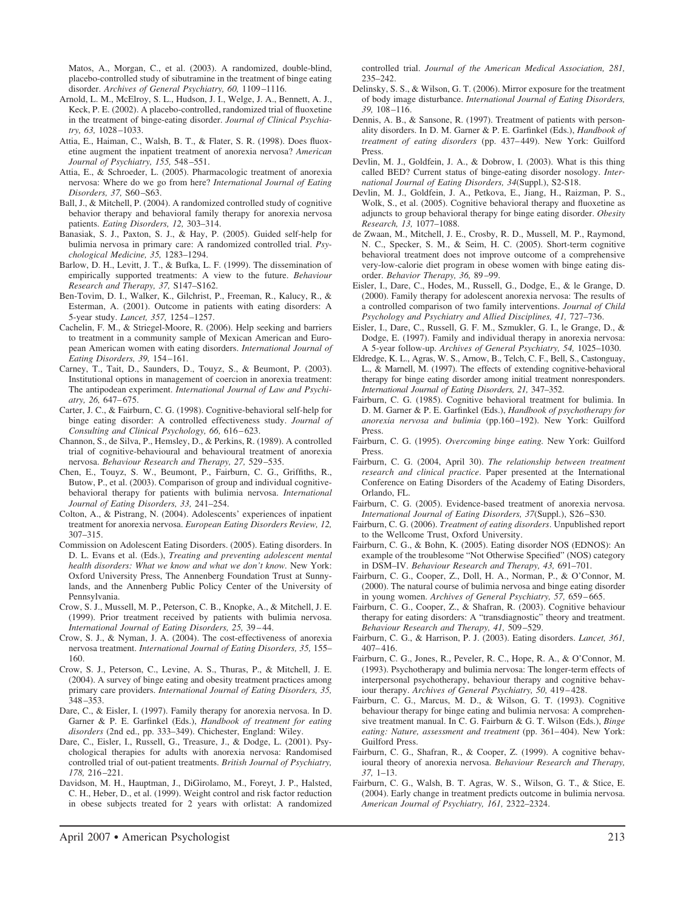Matos, A., Morgan, C., et al. (2003). A randomized, double-blind, placebo-controlled study of sibutramine in the treatment of binge eating disorder. *Archives of General Psychiatry, 60,* 1109–1116.

- Arnold, L. M., McElroy, S. L., Hudson, J. I., Welge, J. A., Bennett, A. J., Keck, P. E. (2002). A placebo-controlled, randomized trial of fluoxetine in the treatment of binge-eating disorder. *Journal of Clinical Psychiatry, 63,* 1028–1033.
- Attia, E., Haiman, C., Walsh, B. T., & Flater, S. R. (1998). Does fluoxetine augment the inpatient treatment of anorexia nervosa? *American Journal of Psychiatry, 155,* 548–551.
- Attia, E., & Schroeder, L. (2005). Pharmacologic treatment of anorexia nervosa: Where do we go from here? *International Journal of Eating Disorders, 37,* S60–S63.
- Ball, J., & Mitchell, P. (2004). A randomized controlled study of cognitive behavior therapy and behavioral family therapy for anorexia nervosa patients. *Eating Disorders, 12,* 303–314.
- Banasiak, S. J., Paxton, S. J., & Hay, P. (2005). Guided self-help for bulimia nervosa in primary care: A randomized controlled trial. *Psychological Medicine, 35,* 1283–1294.
- Barlow, D. H., Levitt, J. T., & Bufka, L. F. (1999). The dissemination of empirically supported treatments: A view to the future. *Behaviour Research and Therapy, 37,* S147–S162.
- Ben-Tovim, D. I., Walker, K., Gilchrist, P., Freeman, R., Kalucy, R., & Esterman, A. (2001). Outcome in patients with eating disorders: A 5-year study. *Lancet, 357,* 1254–1257.
- Cachelin, F. M., & Striegel-Moore, R. (2006). Help seeking and barriers to treatment in a community sample of Mexican American and European American women with eating disorders. *International Journal of Eating Disorders, 39,* 154–161.
- Carney, T., Tait, D., Saunders, D., Touyz, S., & Beumont, P. (2003). Institutional options in management of coercion in anorexia treatment: The antipodean experiment. *International Journal of Law and Psychiatry, 26,* 647–675.
- Carter, J. C., & Fairburn, C. G. (1998). Cognitive-behavioral self-help for binge eating disorder: A controlled effectiveness study. *Journal of Consulting and Clinical Psychology, 66,* 616–623.
- Channon, S., de Silva, P., Hemsley, D., & Perkins, R. (1989). A controlled trial of cognitive-behavioural and behavioural treatment of anorexia nervosa. *Behaviour Research and Therapy, 27,* 529–535.
- Chen, E., Touyz, S. W., Beumont, P., Fairburn, C. G., Griffiths, R., Butow, P., et al. (2003). Comparison of group and individual cognitivebehavioral therapy for patients with bulimia nervosa. *International Journal of Eating Disorders, 33,* 241–254.
- Colton, A., & Pistrang, N. (2004). Adolescents' experiences of inpatient treatment for anorexia nervosa. *European Eating Disorders Review, 12,* 307–315.
- Commission on Adolescent Eating Disorders. (2005). Eating disorders. In D. L. Evans et al. (Eds.), *Treating and preventing adolescent mental health disorders: What we know and what we don't know.* New York: Oxford University Press, The Annenberg Foundation Trust at Sunnylands, and the Annenberg Public Policy Center of the University of Pennsylvania.
- Crow, S. J., Mussell, M. P., Peterson, C. B., Knopke, A., & Mitchell, J. E. (1999). Prior treatment received by patients with bulimia nervosa. *International Journal of Eating Disorders, 25,* 39–44.
- Crow, S. J., & Nyman, J. A. (2004). The cost-effectiveness of anorexia nervosa treatment. *International Journal of Eating Disorders, 35,* 155– 160.
- Crow, S. J., Peterson, C., Levine, A. S., Thuras, P., & Mitchell, J. E. (2004). A survey of binge eating and obesity treatment practices among primary care providers. *International Journal of Eating Disorders, 35,* 348–353.
- Dare, C., & Eisler, I. (1997). Family therapy for anorexia nervosa. In D. Garner & P. E. Garfinkel (Eds.), *Handbook of treatment for eating disorders* (2nd ed., pp. 333–349). Chichester, England: Wiley.
- Dare, C., Eisler, I., Russell, G., Treasure, J., & Dodge, L. (2001). Psychological therapies for adults with anorexia nervosa: Randomised controlled trial of out-patient treatments. *British Journal of Psychiatry, 178,* 216–221.
- Davidson, M. H., Hauptman, J., DiGirolamo, M., Foreyt, J. P., Halsted, C. H., Heber, D., et al. (1999). Weight control and risk factor reduction in obese subjects treated for 2 years with orlistat: A randomized

controlled trial. *Journal of the American Medical Association, 281,* 235–242.

- Delinsky, S. S., & Wilson, G. T. (2006). Mirror exposure for the treatment of body image disturbance. *International Journal of Eating Disorders, 39,* 108–116.
- Dennis, A. B., & Sansone, R. (1997). Treatment of patients with personality disorders. In D. M. Garner & P. E. Garfinkel (Eds.), *Handbook of treatment of eating disorders* (pp. 437–449). New York: Guilford Press.
- Devlin, M. J., Goldfein, J. A., & Dobrow, I. (2003). What is this thing called BED? Current status of binge-eating disorder nosology. *International Journal of Eating Disorders, 34*(Suppl.), S2-S18.
- Devlin, M. J., Goldfein, J. A., Petkova, E., Jiang, H., Raizman, P. S., Wolk, S., et al. (2005). Cognitive behavioral therapy and fluoxetine as adjuncts to group behavioral therapy for binge eating disorder. *Obesity Research, 13,* 1077–1088.
- de Zwaan, M., Mitchell, J. E., Crosby, R. D., Mussell, M. P., Raymond, N. C., Specker, S. M., & Seim, H. C. (2005). Short-term cognitive behavioral treatment does not improve outcome of a comprehensive very-low-calorie diet program in obese women with binge eating disorder. *Behavior Therapy, 36,* 89–99.
- Eisler, I., Dare, C., Hodes, M., Russell, G., Dodge, E., & le Grange, D. (2000). Family therapy for adolescent anorexia nervosa: The results of a controlled comparison of two family interventions. *Journal of Child Psychology and Psychiatry and Allied Disciplines, 41,* 727–736.
- Eisler, I., Dare, C., Russell, G. F. M., Szmukler, G. I., le Grange, D., & Dodge, E. (1997). Family and individual therapy in anorexia nervosa: A 5-year follow-up. *Archives of General Psychiatry, 54,* 1025–1030.
- Eldredge, K. L., Agras, W. S., Arnow, B., Telch, C. F., Bell, S., Castonguay, L., & Marnell, M. (1997). The effects of extending cognitive-behavioral therapy for binge eating disorder among initial treatment nonresponders. *International Journal of Eating Disorders, 21,* 347–352.
- Fairburn, C. G. (1985). Cognitive behavioral treatment for bulimia. In D. M. Garner & P. E. Garfinkel (Eds.), *Handbook of psychotherapy for anorexia nervosa and bulimia* (pp.160–192). New York: Guilford Press.
- Fairburn, C. G. (1995). *Overcoming binge eating.* New York: Guilford Press.
- Fairburn, C. G. (2004, April 30). *The relationship between treatment research and clinical practice*. Paper presented at the International Conference on Eating Disorders of the Academy of Eating Disorders, Orlando, FL.
- Fairburn, C. G. (2005). Evidence-based treatment of anorexia nervosa. *International Journal of Eating Disorders, 37*(Suppl.), S26–S30.
- Fairburn, C. G. (2006). *Treatment of eating disorders*. Unpublished report to the Wellcome Trust, Oxford University.
- Fairburn, C. G., & Bohn, K. (2005). Eating disorder NOS (EDNOS): An example of the troublesome "Not Otherwise Specified" (NOS) category in DSM–IV. *Behaviour Research and Therapy, 43,* 691–701.
- Fairburn, C. G., Cooper, Z., Doll, H. A., Norman, P., & O'Connor, M. (2000). The natural course of bulimia nervosa and binge eating disorder in young women. *Archives of General Psychiatry, 57,* 659–665.
- Fairburn, C. G., Cooper, Z., & Shafran, R. (2003). Cognitive behaviour therapy for eating disorders: A "transdiagnostic" theory and treatment. *Behaviour Research and Therapy, 41,* 509–529.
- Fairburn, C. G., & Harrison, P. J. (2003). Eating disorders. *Lancet, 361,* 407–416.
- Fairburn, C. G., Jones, R., Peveler, R. C., Hope, R. A., & O'Connor, M. (1993). Psychotherapy and bulimia nervosa: The longer-term effects of interpersonal psychotherapy, behaviour therapy and cognitive behaviour therapy. *Archives of General Psychiatry, 50,* 419–428.
- Fairburn, C. G., Marcus, M. D., & Wilson, G. T. (1993). Cognitive behaviour therapy for binge eating and bulimia nervosa: A comprehensive treatment manual. In C. G. Fairburn & G. T. Wilson (Eds.), *Binge eating: Nature, assessment and treatment* (pp. 361–404). New York: Guilford Press.
- Fairburn, C. G., Shafran, R., & Cooper, Z. (1999). A cognitive behavioural theory of anorexia nervosa. *Behaviour Research and Therapy, 37,* 1–13.
- Fairburn, C. G., Walsh, B. T. Agras, W. S., Wilson, G. T., & Stice, E. (2004). Early change in treatment predicts outcome in bulimia nervosa. *American Journal of Psychiatry, 161,* 2322–2324.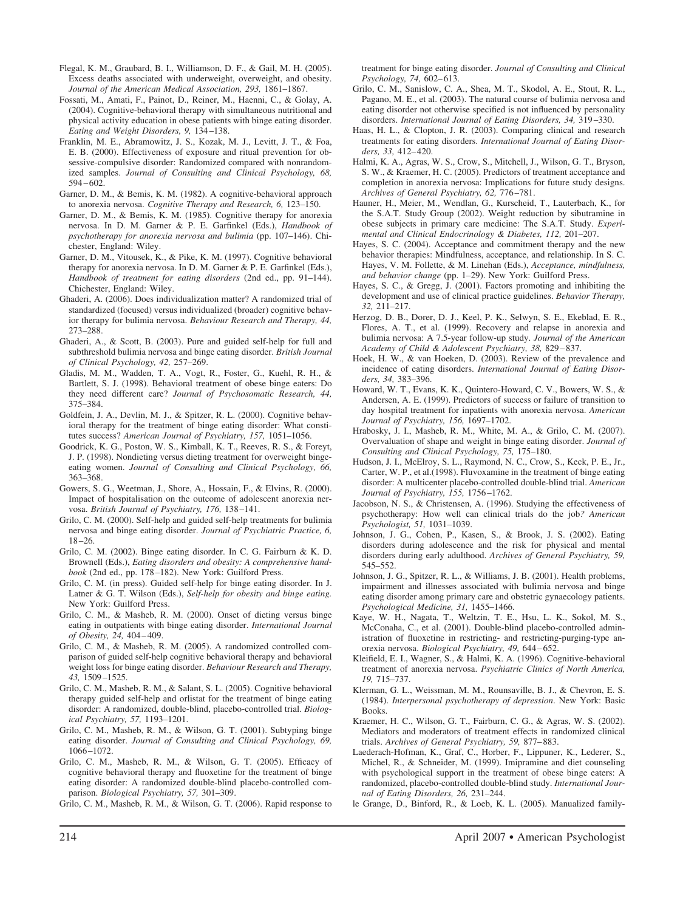Flegal, K. M., Graubard, B. I., Williamson, D. F., & Gail, M. H. (2005). Excess deaths associated with underweight, overweight, and obesity. *Journal of the American Medical Association, 293,* 1861–1867.

- Fossati, M., Amati, F., Painot, D., Reiner, M., Haenni, C., & Golay, A. (2004). Cognitive-behavioral therapy with simultaneous nutritional and physical activity education in obese patients with binge eating disorder. *Eating and Weight Disorders, 9,* 134–138.
- Franklin, M. E., Abramowitz, J. S., Kozak, M. J., Levitt, J. T., & Foa, E. B. (2000). Effectiveness of exposure and ritual prevention for obsessive-compulsive disorder: Randomized compared with nonrandomized samples. *Journal of Consulting and Clinical Psychology, 68,* 594–602.
- Garner, D. M., & Bemis, K. M. (1982). A cognitive-behavioral approach to anorexia nervosa. *Cognitive Therapy and Research, 6,* 123–150.
- Garner, D. M., & Bemis, K. M. (1985). Cognitive therapy for anorexia nervosa. In D. M. Garner & P. E. Garfinkel (Eds.), *Handbook of psychotherapy for anorexia nervosa and bulimia* (pp. 107–146). Chichester, England: Wiley.
- Garner, D. M., Vitousek, K., & Pike, K. M. (1997). Cognitive behavioral therapy for anorexia nervosa. In D. M. Garner & P. E. Garfinkel (Eds.), *Handbook of treatment for eating disorders* (2nd ed., pp. 91–144). Chichester, England: Wiley.
- Ghaderi, A. (2006). Does individualization matter? A randomized trial of standardized (focused) versus individualized (broader) cognitive behavior therapy for bulimia nervosa. *Behaviour Research and Therapy, 44,* 273–288.
- Ghaderi, A., & Scott, B. (2003). Pure and guided self-help for full and subthreshold bulimia nervosa and binge eating disorder. *British Journal of Clinical Psychology, 42,* 257–269.
- Gladis, M. M., Wadden, T. A., Vogt, R., Foster, G., Kuehl, R. H., & Bartlett, S. J. (1998). Behavioral treatment of obese binge eaters: Do they need different care? *Journal of Psychosomatic Research, 44,* 375–384.
- Goldfein, J. A., Devlin, M. J., & Spitzer, R. L. (2000). Cognitive behavioral therapy for the treatment of binge eating disorder: What constitutes success? *American Journal of Psychiatry, 157,* 1051–1056.
- Goodrick, K. G., Poston, W. S., Kimball, K. T., Reeves, R. S., & Foreyt, J. P. (1998). Nondieting versus dieting treatment for overweight bingeeating women. *Journal of Consulting and Clinical Psychology, 66,* 363–368.
- Gowers, S. G., Weetman, J., Shore, A., Hossain, F., & Elvins, R. (2000). Impact of hospitalisation on the outcome of adolescent anorexia nervosa. *British Journal of Psychiatry, 176,* 138–141.
- Grilo, C. M. (2000). Self-help and guided self-help treatments for bulimia nervosa and binge eating disorder. *Journal of Psychiatric Practice, 6,* 18–26.
- Grilo, C. M. (2002). Binge eating disorder. In C. G. Fairburn & K. D. Brownell (Eds.), *Eating disorders and obesity: A comprehensive handbook* (2nd ed., pp. 178–182). New York: Guilford Press.
- Grilo, C. M. (in press). Guided self-help for binge eating disorder. In J. Latner & G. T. Wilson (Eds.), *Self-help for obesity and binge eating.* New York: Guilford Press.
- Grilo, C. M., & Masheb, R. M. (2000). Onset of dieting versus binge eating in outpatients with binge eating disorder. *International Journal of Obesity, 24,* 404–409.
- Grilo, C. M., & Masheb, R. M. (2005). A randomized controlled comparison of guided self-help cognitive behavioral therapy and behavioral weight loss for binge eating disorder. *Behaviour Research and Therapy, 43,* 1509–1525.
- Grilo, C. M., Masheb, R. M., & Salant, S. L. (2005). Cognitive behavioral therapy guided self-help and orlistat for the treatment of binge eating disorder: A randomized, double-blind, placebo-controlled trial. *Biological Psychiatry, 57,* 1193–1201.
- Grilo, C. M., Masheb, R. M., & Wilson, G. T. (2001). Subtyping binge eating disorder. *Journal of Consulting and Clinical Psychology, 69,* 1066–1072.
- Grilo, C. M., Masheb, R. M., & Wilson, G. T. (2005). Efficacy of cognitive behavioral therapy and fluoxetine for the treatment of binge eating disorder: A randomized double-blind placebo-controlled comparison. *Biological Psychiatry, 57,* 301–309.
- Grilo, C. M., Masheb, R. M., & Wilson, G. T. (2006). Rapid response to

treatment for binge eating disorder. *Journal of Consulting and Clinical Psychology, 74,* 602–613.

- Grilo, C. M., Sanislow, C. A., Shea, M. T., Skodol, A. E., Stout, R. L., Pagano, M. E., et al. (2003). The natural course of bulimia nervosa and eating disorder not otherwise specified is not influenced by personality disorders. *International Journal of Eating Disorders, 34,* 319–330.
- Haas, H. L., & Clopton, J. R. (2003). Comparing clinical and research treatments for eating disorders. *International Journal of Eating Disorders, 33,* 412–420.
- Halmi, K. A., Agras, W. S., Crow, S., Mitchell, J., Wilson, G. T., Bryson, S. W., & Kraemer, H. C. (2005). Predictors of treatment acceptance and completion in anorexia nervosa: Implications for future study designs. *Archives of General Psychiatry, 62,* 776–781.
- Hauner, H., Meier, M., Wendlan, G., Kurscheid, T., Lauterbach, K., for the S.A.T. Study Group (2002). Weight reduction by sibutramine in obese subjects in primary care medicine: The S.A.T. Study. *Experimental and Clinical Endocrinology & Diabetes, 112,* 201–207.
- Hayes, S. C. (2004). Acceptance and commitment therapy and the new behavior therapies: Mindfulness, acceptance, and relationship. In S. C. Hayes, V. M. Follette, & M. Linehan (Eds.), *Acceptance, mindfulness, and behavior change* (pp. 1–29). New York: Guilford Press.
- Hayes, S. C., & Gregg, J. (2001). Factors promoting and inhibiting the development and use of clinical practice guidelines. *Behavior Therapy, 32,* 211–217.
- Herzog, D. B., Dorer, D. J., Keel, P. K., Selwyn, S. E., Ekeblad, E. R., Flores, A. T., et al. (1999). Recovery and relapse in anorexia and bulimia nervosa: A 7.5-year follow-up study. *Journal of the American Academy of Child & Adolescent Psychiatry, 38,* 829–837.
- Hoek, H. W., & van Hoeken, D. (2003). Review of the prevalence and incidence of eating disorders. *International Journal of Eating Disorders, 34,* 383–396.
- Howard, W. T., Evans, K. K., Quintero-Howard, C. V., Bowers, W. S., & Andersen, A. E. (1999). Predictors of success or failure of transition to day hospital treatment for inpatients with anorexia nervosa. *American Journal of Psychiatry, 156,* 1697–1702.
- Hrabosky, J. I., Masheb, R. M., White, M. A., & Grilo, C. M. (2007). Overvaluation of shape and weight in binge eating disorder. *Journal of Consulting and Clinical Psychology, 75,* 175–180.
- Hudson, J. I., McElroy, S. L., Raymond, N. C., Crow, S., Keck, P. E., Jr., Carter, W. P., et al.(1998). Fluvoxamine in the treatment of binge eating disorder: A multicenter placebo-controlled double-blind trial. *American Journal of Psychiatry, 155,* 1756–1762.
- Jacobson, N. S., & Christensen, A. (1996). Studying the effectiveness of psychotherapy: How well can clinical trials do the job*? American Psychologist, 51,* 1031–1039.
- Johnson, J. G., Cohen, P., Kasen, S., & Brook, J. S. (2002). Eating disorders during adolescence and the risk for physical and mental disorders during early adulthood. *Archives of General Psychiatry, 59,* 545–552.
- Johnson, J. G., Spitzer, R. L., & Williams, J. B. (2001). Health problems, impairment and illnesses associated with bulimia nervosa and binge eating disorder among primary care and obstetric gynaecology patients. *Psychological Medicine, 31,* 1455–1466.
- Kaye, W. H., Nagata, T., Weltzin, T. E., Hsu, L. K., Sokol, M. S., McConaha, C., et al. (2001). Double-blind placebo-controlled administration of fluoxetine in restricting- and restricting-purging-type anorexia nervosa. *Biological Psychiatry, 49,* 644–652.
- Kleifield, E. I., Wagner, S., & Halmi, K. A. (1996). Cognitive-behavioral treatment of anorexia nervosa. *Psychiatric Clinics of North America, 19,* 715–737.
- Klerman, G. L., Weissman, M. M., Rounsaville, B. J., & Chevron, E. S. (1984). *Interpersonal psychotherapy of depression*. New York: Basic Books.
- Kraemer, H. C., Wilson, G. T., Fairburn, C. G., & Agras, W. S. (2002). Mediators and moderators of treatment effects in randomized clinical trials. *Archives of General Psychiatry, 59,* 877–883.
- Laederach-Hofman, K., Graf, C., Horber, F., Lippuner, K., Lederer, S., Michel, R., & Schneider, M. (1999). Imipramine and diet counseling with psychological support in the treatment of obese binge eaters: A randomized, placebo-controlled double-blind study. *International Journal of Eating Disorders, 26,* 231–244.
- le Grange, D., Binford, R., & Loeb, K. L. (2005). Manualized family-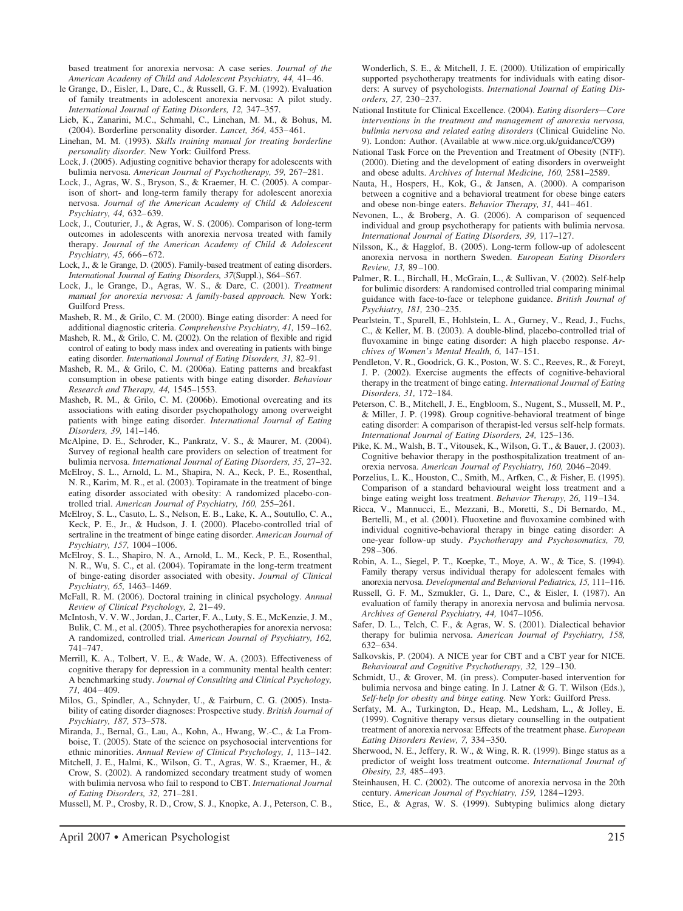based treatment for anorexia nervosa: A case series. *Journal of the American Academy of Child and Adolescent Psychiatry, 44,* 41–46.

- le Grange, D., Eisler, I., Dare, C., & Russell, G. F. M. (1992). Evaluation of family treatments in adolescent anorexia nervosa: A pilot study. *International Journal of Eating Disorders, 12,* 347–357.
- Lieb, K., Zanarini, M.C., Schmahl, C., Linehan, M. M., & Bohus, M. (2004). Borderline personality disorder. *Lancet, 364,* 453–461.
- Linehan, M. M. (1993). *Skills training manual for treating borderline personality disorder.* New York: Guilford Press.
- Lock, J. (2005). Adjusting cognitive behavior therapy for adolescents with bulimia nervosa. *American Journal of Psychotherapy, 59,* 267–281.
- Lock, J., Agras, W. S., Bryson, S., & Kraemer, H. C. (2005). A comparison of short- and long-term family therapy for adolescent anorexia nervosa. *Journal of the American Academy of Child & Adolescent Psychiatry, 44,* 632–639.
- Lock, J., Couturier, J., & Agras, W. S. (2006). Comparison of long-term outcomes in adolescents with anorexia nervosa treated with family therapy. *Journal of the American Academy of Child & Adolescent Psychiatry, 45,* 666–672.
- Lock, J., & le Grange, D. (2005). Family-based treatment of eating disorders. *International Journal of Eating Disorders, 37*(Suppl.), S64–S67.
- Lock, J., le Grange, D., Agras, W. S., & Dare, C. (2001). *Treatment manual for anorexia nervosa: A family-based approach.* New York: Guilford Press.
- Masheb, R. M., & Grilo, C. M. (2000). Binge eating disorder: A need for additional diagnostic criteria. *Comprehensive Psychiatry, 41,* 159–162.
- Masheb, R. M., & Grilo, C. M. (2002). On the relation of flexible and rigid control of eating to body mass index and overeating in patients with binge eating disorder. *International Journal of Eating Disorders, 31,* 82–91.
- Masheb, R. M., & Grilo, C. M. (2006a). Eating patterns and breakfast consumption in obese patients with binge eating disorder. *Behaviour Research and Therapy, 44,* 1545–1553.
- Masheb, R. M., & Grilo, C. M. (2006b). Emotional overeating and its associations with eating disorder psychopathology among overweight patients with binge eating disorder. *International Journal of Eating Disorders, 39,* 141–146.
- McAlpine, D. E., Schroder, K., Pankratz, V. S., & Maurer, M. (2004). Survey of regional health care providers on selection of treatment for bulimia nervosa. *International Journal of Eating Disorders, 35,* 27–32.
- McElroy, S. L., Arnold, L. M., Shapira, N. A., Keck, P. E., Rosenthal, N. R., Karim, M. R., et al. (2003). Topiramate in the treatment of binge eating disorder associated with obesity: A randomized placebo-controlled trial. *American Journal of Psychiatry, 160,* 255–261.
- McElroy, S. L., Casuto, L. S., Nelson, E. B., Lake, K. A., Soutullo, C. A., Keck, P. E., Jr., & Hudson, J. I. (2000). Placebo-controlled trial of sertraline in the treatment of binge eating disorder. *American Journal of Psychiatry, 157,* 1004–1006.
- McElroy, S. L., Shapiro, N. A., Arnold, L. M., Keck, P. E., Rosenthal, N. R., Wu, S. C., et al. (2004). Topiramate in the long-term treatment of binge-eating disorder associated with obesity. *Journal of Clinical Psychiatry, 65,* 1463–1469.
- McFall, R. M. (2006). Doctoral training in clinical psychology. *Annual Review of Clinical Psychology, 2,* 21–49.
- McIntosh, V. V. W., Jordan, J., Carter, F. A., Luty, S. E., McKenzie, J. M., Bulik, C. M., et al. (2005). Three psychotherapies for anorexia nervosa: A randomized, controlled trial. *American Journal of Psychiatry, 162,* 741–747.
- Merrill, K. A., Tolbert, V. E., & Wade, W. A. (2003). Effectiveness of cognitive therapy for depression in a community mental health center: A benchmarking study. *Journal of Consulting and Clinical Psychology, 71,* 404–409.
- Milos, G., Spindler, A., Schnyder, U., & Fairburn, C. G. (2005). Instability of eating disorder diagnoses: Prospective study. *British Journal of Psychiatry, 187,* 573–578.
- Miranda, J., Bernal, G., Lau, A., Kohn, A., Hwang, W.-C., & La Fromboise, T. (2005). State of the science on psychosocial interventions for ethnic minorities. *Annual Review of Clinical Psychology, 1,* 113–142.
- Mitchell, J. E., Halmi, K., Wilson, G. T., Agras, W. S., Kraemer, H., & Crow, S. (2002). A randomized secondary treatment study of women with bulimia nervosa who fail to respond to CBT. *International Journal of Eating Disorders, 32,* 271–281.
- Mussell, M. P., Crosby, R. D., Crow, S. J., Knopke, A. J., Peterson, C. B.,

Wonderlich, S. E., & Mitchell, J. E. (2000). Utilization of empirically supported psychotherapy treatments for individuals with eating disorders: A survey of psychologists. *International Journal of Eating Disorders, 27,* 230–237.

- National Institute for Clinical Excellence. (2004). *Eating disorders—Core interventions in the treatment and management of anorexia nervosa, bulimia nervosa and related eating disorders* (Clinical Guideline No. 9). London: Author. (Available at www.nice.org.uk/guidance/CG9)
- National Task Force on the Prevention and Treatment of Obesity (NTF). (2000). Dieting and the development of eating disorders in overweight and obese adults. *Archives of Internal Medicine, 160,* 2581–2589.
- Nauta, H., Hospers, H., Kok, G., & Jansen, A. (2000). A comparison between a cognitive and a behavioral treatment for obese binge eaters and obese non-binge eaters. *Behavior Therapy, 31,* 441–461.
- Nevonen, L., & Broberg, A. G. (2006). A comparison of sequenced individual and group psychotherapy for patients with bulimia nervosa. *International Journal of Eating Disorders, 39,* 117–127.
- Nilsson, K., & Hagglof, B. (2005). Long-term follow-up of adolescent anorexia nervosa in northern Sweden. *European Eating Disorders Review, 13,* 89–100.
- Palmer, R. L., Birchall, H., McGrain, L., & Sullivan, V. (2002). Self-help for bulimic disorders: A randomised controlled trial comparing minimal guidance with face-to-face or telephone guidance. *British Journal of Psychiatry, 181,* 230–235.
- Pearlstein, T., Spurell, E., Hohlstein, L. A., Gurney, V., Read, J., Fuchs, C., & Keller, M. B. (2003). A double-blind, placebo-controlled trial of fluvoxamine in binge eating disorder: A high placebo response. *Archives of Women's Mental Health, 6,* 147–151.
- Pendleton, V. R., Goodrick, G. K., Poston, W. S. C., Reeves, R., & Foreyt, J. P. (2002). Exercise augments the effects of cognitive-behavioral therapy in the treatment of binge eating. *International Journal of Eating Disorders, 31,* 172–184.
- Peterson, C. B., Mitchell, J. E., Engbloom, S., Nugent, S., Mussell, M. P., & Miller, J. P. (1998). Group cognitive-behavioral treatment of binge eating disorder: A comparison of therapist-led versus self-help formats. *International Journal of Eating Disorders, 24,* 125–136.
- Pike, K. M., Walsh, B. T., Vitousek, K., Wilson, G. T., & Bauer, J. (2003). Cognitive behavior therapy in the posthospitalization treatment of anorexia nervosa. *American Journal of Psychiatry, 160,* 2046–2049.
- Porzelius, L. K., Houston, C., Smith, M., Arfken, C., & Fisher, E. (1995). Comparison of a standard behavioural weight loss treatment and a binge eating weight loss treatment. *Behavior Therapy, 26,* 119–134.
- Ricca, V., Mannucci, E., Mezzani, B., Moretti, S., Di Bernardo, M., Bertelli, M., et al. (2001). Fluoxetine and fluvoxamine combined with individual cognitive-behavioral therapy in binge eating disorder: A one-year follow-up study. *Psychotherapy and Psychosomatics, 70,* 298–306.
- Robin, A. L., Siegel, P. T., Koepke, T., Moye, A. W., & Tice, S. (1994). Family therapy versus individual therapy for adolescent females with anorexia nervosa. *Developmental and Behavioral Pediatrics, 15,* 111–116.
- Russell, G. F. M., Szmukler, G. I., Dare, C., & Eisler, I. (1987). An evaluation of family therapy in anorexia nervosa and bulimia nervosa. *Archives of General Psychiatry, 44,* 1047–1056.
- Safer, D. L., Telch, C. F., & Agras, W. S. (2001). Dialectical behavior therapy for bulimia nervosa. *American Journal of Psychiatry, 158,* 632–634.
- Salkovskis, P. (2004). A NICE year for CBT and a CBT year for NICE. *Behavioural and Cognitive Psychotherapy, 32,* 129–130.
- Schmidt, U., & Grover, M. (in press). Computer-based intervention for bulimia nervosa and binge eating. In J. Latner & G. T. Wilson (Eds.), *Self-help for obesity and binge eating.* New York: Guilford Press.
- Serfaty, M. A., Turkington, D., Heap, M., Ledsham, L., & Jolley, E. (1999). Cognitive therapy versus dietary counselling in the outpatient treatment of anorexia nervosa: Effects of the treatment phase. *European Eating Disorders Review, 7,* 334–350.
- Sherwood, N. E., Jeffery, R. W., & Wing, R. R. (1999). Binge status as a predictor of weight loss treatment outcome. *International Journal of Obesity, 23,* 485–493.
- Steinhausen, H. C. (2002). The outcome of anorexia nervosa in the 20th century. *American Journal of Psychiatry, 159,* 1284–1293.
- Stice, E., & Agras, W. S. (1999). Subtyping bulimics along dietary

April 2007 ● American Psychologist 215